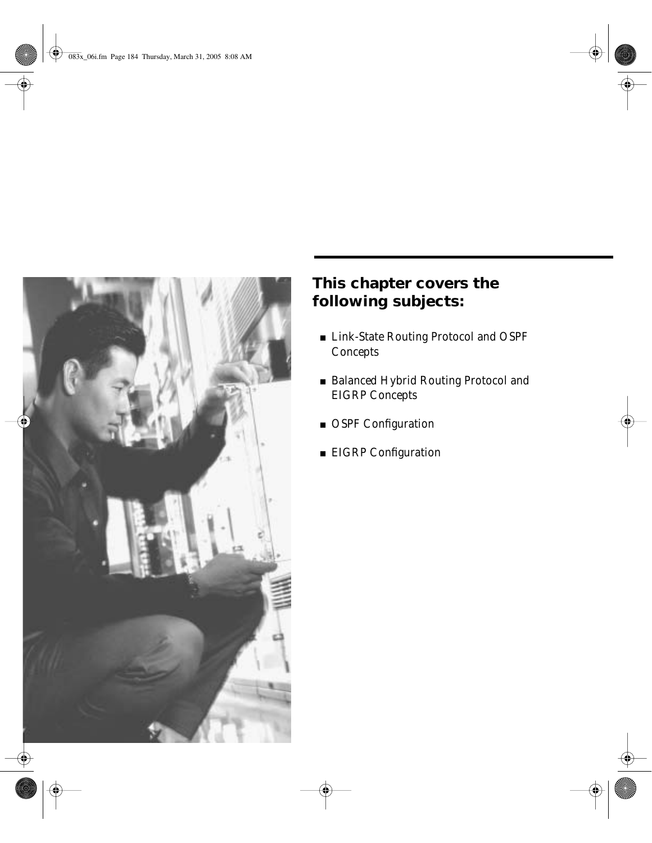

# **This chapter covers the following subjects:**

- Link-State Routing Protocol and OSPF **Concepts**
- Balanced Hybrid Routing Protocol and EIGRP Concepts
- OSPF Configuration
- EIGRP Configuration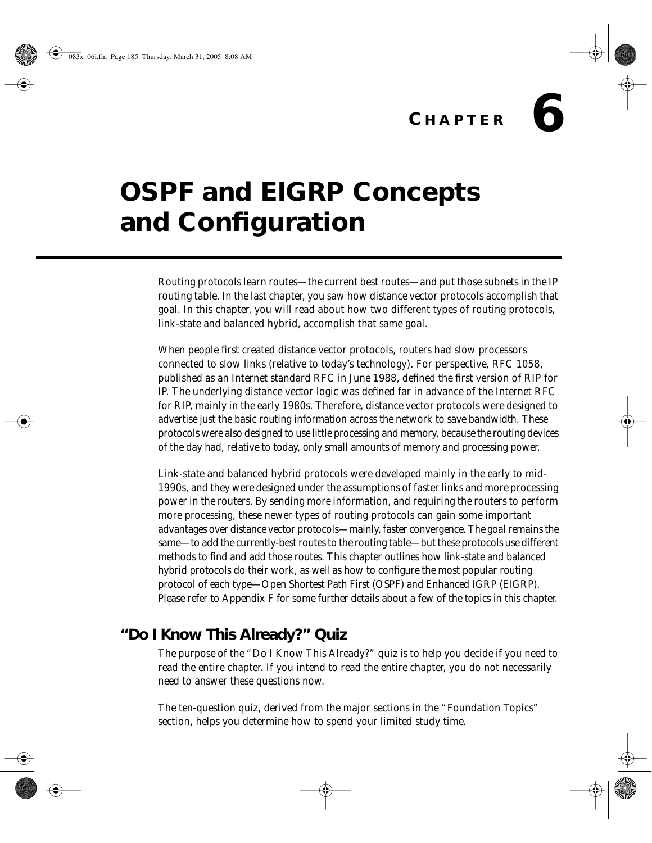# **C H <sup>A</sup> <sup>P</sup> <sup>T</sup> <sup>E</sup> <sup>R</sup> 6**

# **OSPF and EIGRP Concepts and Configuration**

Routing protocols learn routes—the current best routes—and put those subnets in the IP routing table. In the last chapter, you saw how distance vector protocols accomplish that goal. In this chapter, you will read about how two different types of routing protocols, link-state and balanced hybrid, accomplish that same goal.

When people first created distance vector protocols, routers had slow processors connected to slow links (relative to today's technology). For perspective, RFC 1058, published as an Internet standard RFC in June 1988, defined the first version of RIP for IP. The underlying distance vector logic was defined far in advance of the Internet RFC for RIP, mainly in the early 1980s. Therefore, distance vector protocols were designed to advertise just the basic routing information across the network to save bandwidth. These protocols were also designed to use little processing and memory, because the routing devices of the day had, relative to today, only small amounts of memory and processing power.

Link-state and balanced hybrid protocols were developed mainly in the early to mid-1990s, and they were designed under the assumptions of faster links and more processing power in the routers. By sending more information, and requiring the routers to perform more processing, these newer types of routing protocols can gain some important advantages over distance vector protocols—mainly, faster convergence. The goal remains the same—to add the currently-best routes to the routing table—but these protocols use different methods to find and add those routes. This chapter outlines how link-state and balanced hybrid protocols do their work, as well as how to configure the most popular routing protocol of each type—Open Shortest Path First (OSPF) and Enhanced IGRP (EIGRP). Please refer to Appendix F for some further details about a few of the topics in this chapter.

# **"Do I Know This Already?" Quiz**

The purpose of the "Do I Know This Already?" quiz is to help you decide if you need to read the entire chapter. If you intend to read the entire chapter, you do not necessarily need to answer these questions now.

The ten-question quiz, derived from the major sections in the "Foundation Topics" section, helps you determine how to spend your limited study time.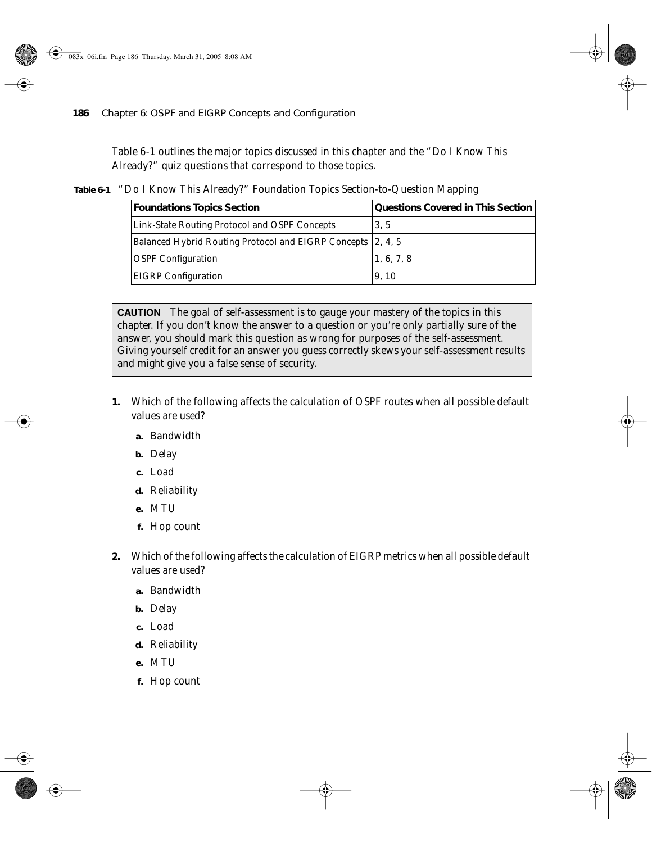Table 6-1 outlines the major topics discussed in this chapter and the "Do I Know This Already?" quiz questions that correspond to those topics.

| <b>Foundations Topics Section</b>                           | Questions Covered in This Section |
|-------------------------------------------------------------|-----------------------------------|
| Link-State Routing Protocol and OSPF Concepts               | 3.5                               |
| Balanced Hybrid Routing Protocol and EIGRP Concepts 2, 4, 5 |                                   |
| <b>OSPF</b> Configuration                                   | 1, 6, 7, 8                        |

**Table 6-1** *"Do I Know This Already?" Foundation Topics Section-to-Question Mapping*

EIGRP Configuration 9, 10

**CAUTION** The goal of self-assessment is to gauge your mastery of the topics in this chapter. If you don't know the answer to a question or you're only partially sure of the answer, you should mark this question as wrong for purposes of the self-assessment. Giving yourself credit for an answer you guess correctly skews your self-assessment results and might give you a false sense of security.

- **1.** Which of the following affects the calculation of OSPF routes when all possible default values are used?
	- **a.** Bandwidth
	- **b.** Delay
	- **c.** Load
	- **d.** Reliability
	- **e.** MTU
	- **f.** Hop count
- **2.** Which of the following affects the calculation of EIGRP metrics when all possible default values are used?
	- **a.** Bandwidth
	- **b.** Delay
	- **c.** Load
	- **d.** Reliability
	- **e.** MTU
	- **f.** Hop count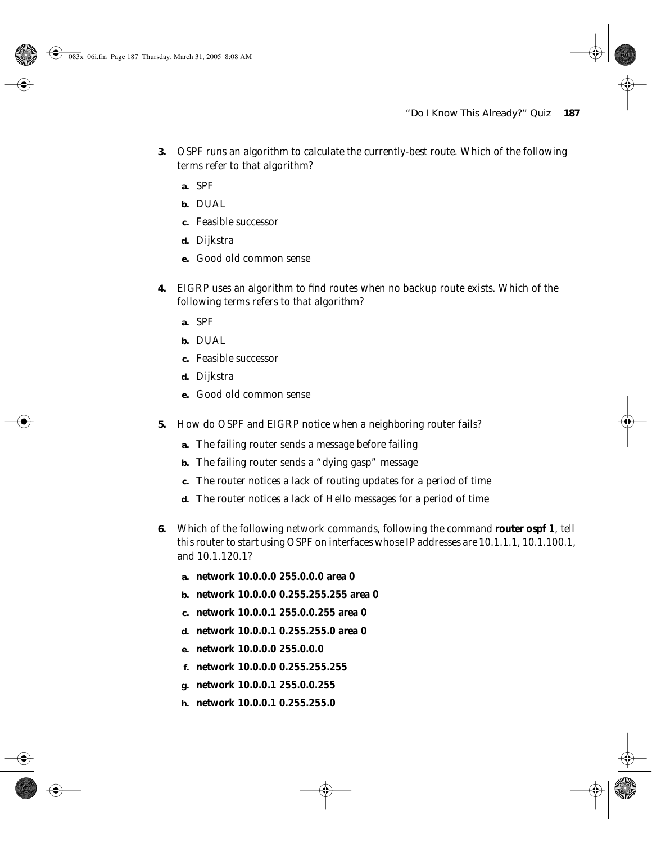- **3.** OSPF runs an algorithm to calculate the currently-best route. Which of the following terms refer to that algorithm?
	- **a.** SPF
	- **b.** DUAL
	- **c.** Feasible successor
	- **d.** Dijkstra
	- **e.** Good old common sense
- **4.** EIGRP uses an algorithm to find routes when no backup route exists. Which of the following terms refers to that algorithm?
	- **a.** SPF
	- **b.** DUAL
	- **c.** Feasible successor
	- **d.** Dijkstra
	- **e.** Good old common sense
- **5.** How do OSPF and EIGRP notice when a neighboring router fails?
	- **a.** The failing router sends a message before failing
	- **b.** The failing router sends a "dying gasp" message
	- **c.** The router notices a lack of routing updates for a period of time
	- **d.** The router notices a lack of Hello messages for a period of time
- **6.** Which of the following network commands, following the command **router ospf 1**, tell this router to start using OSPF on interfaces whose IP addresses are 10.1.1.1, 10.1.100.1, and 10.1.120.1?
	- **a. network 10.0.0.0 255.0.0.0 area 0**
	- **b. network 10.0.0.0 0.255.255.255 area 0**
	- **c. network 10.0.0.1 255.0.0.255 area 0**
	- **d. network 10.0.0.1 0.255.255.0 area 0**
	- **e. network 10.0.0.0 255.0.0.0**
	- **f. network 10.0.0.0 0.255.255.255**
	- **g. network 10.0.0.1 255.0.0.255**
	- **h. network 10.0.0.1 0.255.255.0**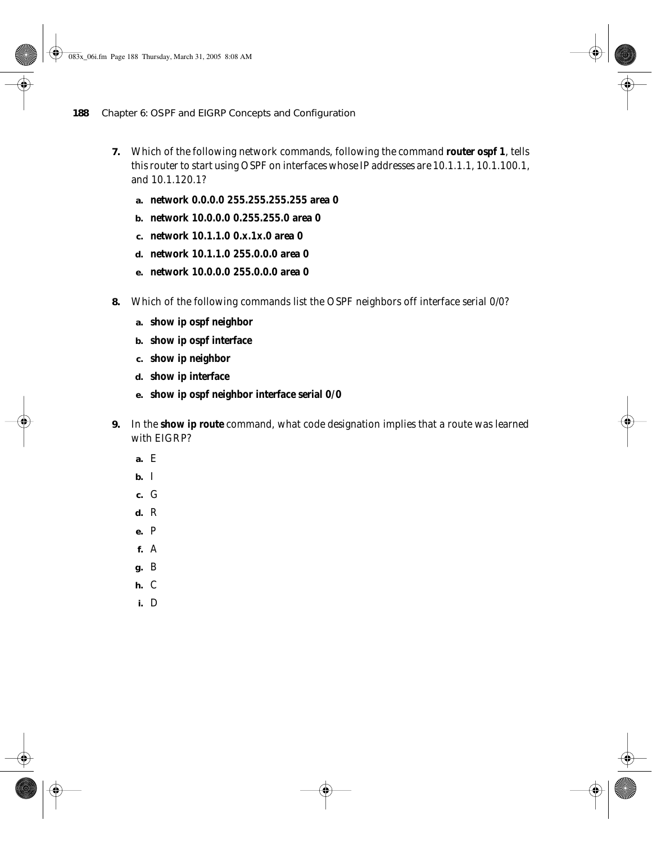- **7.** Which of the following network commands, following the command **router ospf 1**, tells this router to start using OSPF on interfaces whose IP addresses are 10.1.1.1, 10.1.100.1, and 10.1.120.1?
	- **a. network 0.0.0.0 255.255.255.255 area 0**
	- **b. network 10.0.0.0 0.255.255.0 area 0**
	- **c. network 10.1.1.0 0.x.1x.0 area 0**
	- **d. network 10.1.1.0 255.0.0.0 area 0**
	- **e. network 10.0.0.0 255.0.0.0 area 0**
- **8.** Which of the following commands list the OSPF neighbors off interface serial 0/0?
	- **a. show ip ospf neighbor**
	- **b. show ip ospf interface**
	- **c. show ip neighbor**
	- **d. show ip interface**
	- **e. show ip ospf neighbor interface serial 0/0**
- **9.** In the **show ip route** command, what code designation implies that a route was learned with EIGRP?
	- **a.** E
	- **b.** I
	- **c.** G
	- **d.** R
	- **e.** P
	- **f.** A
	- **g.** B
	- **h.** C
	- **i.** D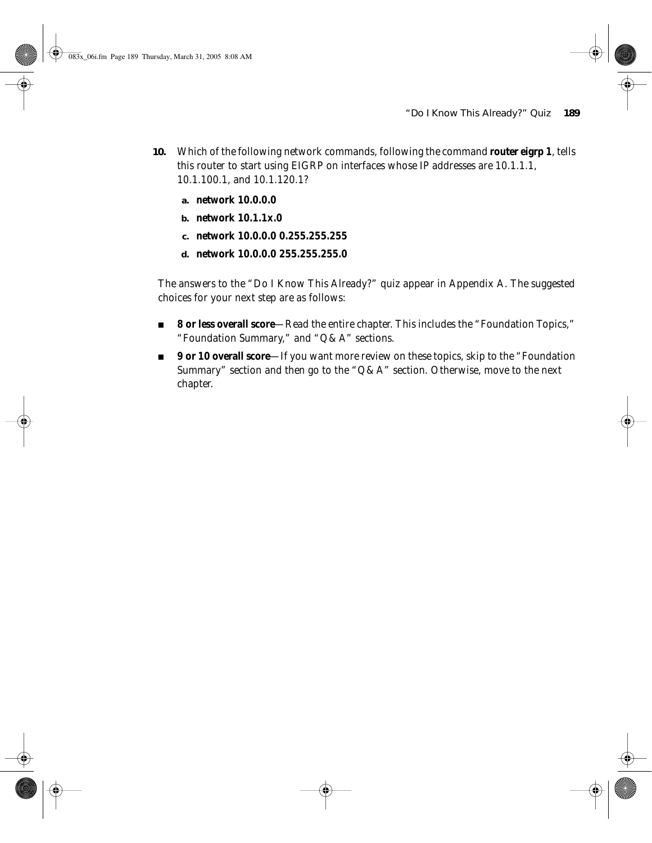- **10.** Which of the following network commands, following the command **router eigrp 1**, tells this router to start using EIGRP on interfaces whose IP addresses are 10.1.1.1, 10.1.100.1, and 10.1.120.1?
	- **a. network 10.0.0.0**
	- **b. network 10.1.1x.0**
	- **c. network 10.0.0.0 0.255.255.255**
	- **d. network 10.0.0.0 255.255.255.0**

The answers to the "Do I Know This Already?" quiz appear in Appendix A. The suggested choices for your next step are as follows:

- **8 or less overall score**—Read the entire chapter. This includes the "Foundation Topics," "Foundation Summary," and "Q&A" sections.
- **9 or 10 overall score**—If you want more review on these topics, skip to the "Foundation Summary" section and then go to the "Q&A" section. Otherwise, move to the next chapter.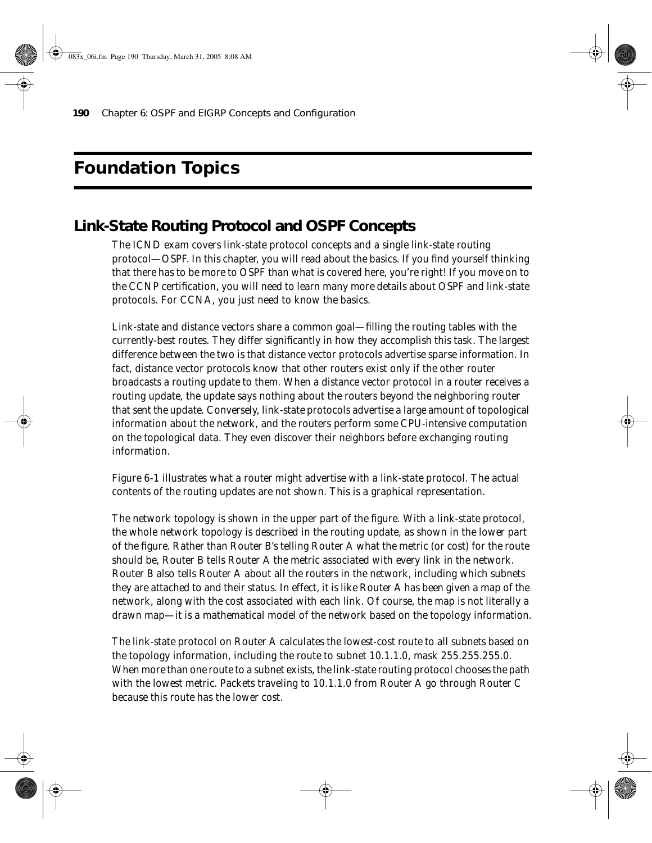# **Foundation Topics**

## **Link-State Routing Protocol and OSPF Concepts**

The ICND exam covers link-state protocol concepts and a single link-state routing protocol—OSPF. In this chapter, you will read about the basics. If you find yourself thinking that there has to be more to OSPF than what is covered here, you're right! If you move on to the CCNP certification, you will need to learn many more details about OSPF and link-state protocols. For CCNA, you just need to know the basics.

Link-state and distance vectors share a common goal—filling the routing tables with the currently-best routes. They differ significantly in how they accomplish this task. The largest difference between the two is that distance vector protocols advertise sparse information. In fact, distance vector protocols know that other routers exist only if the other router broadcasts a routing update to them. When a distance vector protocol in a router receives a routing update, the update says nothing about the routers beyond the neighboring router that sent the update. Conversely, link-state protocols advertise a large amount of topological information about the network, and the routers perform some CPU-intensive computation on the topological data. They even discover their neighbors before exchanging routing information.

Figure 6-1 illustrates what a router might advertise with a link-state protocol. The actual contents of the routing updates are not shown. This is a graphical representation.

The network topology is shown in the upper part of the figure. With a link-state protocol, the whole network topology is described in the routing update, as shown in the lower part of the figure. Rather than Router B's telling Router A what the metric (or cost) for the route should be, Router B tells Router A the metric associated with every link in the network. Router B also tells Router A about all the routers in the network, including which subnets they are attached to and their status. In effect, it is like Router A has been given a map of the network, along with the cost associated with each link. Of course, the map is not literally a drawn map—it is a mathematical model of the network based on the topology information.

The link-state protocol on Router A calculates the lowest-cost route to all subnets based on the topology information, including the route to subnet 10.1.1.0, mask 255.255.255.0. When more than one route to a subnet exists, the link-state routing protocol chooses the path with the lowest metric. Packets traveling to 10.1.1.0 from Router A go through Router C because this route has the lower cost.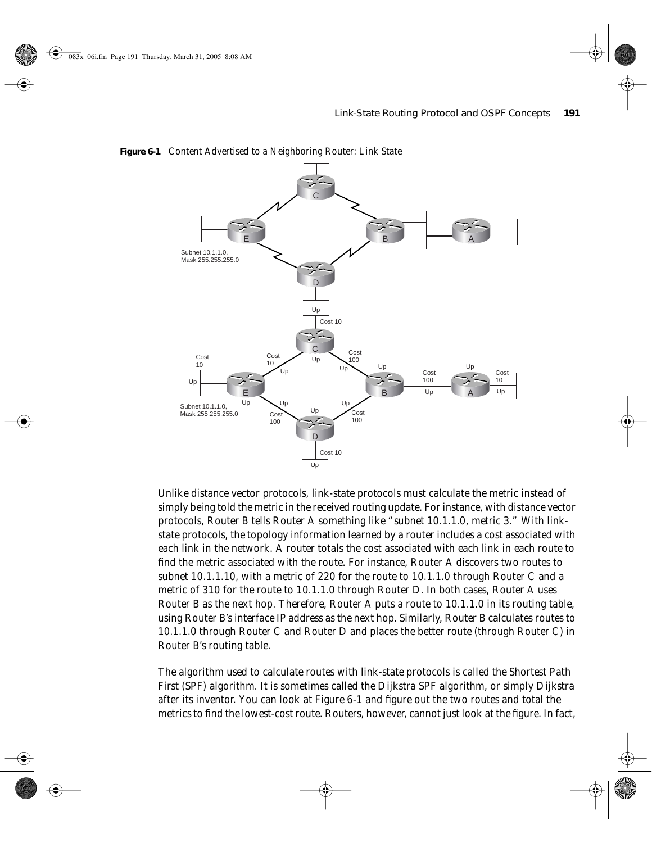

**Figure 6-1** *Content Advertised to a Neighboring Router: Link State*

Unlike distance vector protocols, link-state protocols must calculate the metric instead of simply being told the metric in the received routing update. For instance, with distance vector protocols, Router B tells Router A something like "subnet 10.1.1.0, metric 3." With linkstate protocols, the topology information learned by a router includes a cost associated with each link in the network. A router totals the cost associated with each link in each route to find the metric associated with the route. For instance, Router A discovers two routes to subnet 10.1.1.10, with a metric of 220 for the route to 10.1.1.0 through Router C and a metric of 310 for the route to 10.1.1.0 through Router D. In both cases, Router A uses Router B as the next hop. Therefore, Router A puts a route to 10.1.1.0 in its routing table, using Router B's interface IP address as the next hop. Similarly, Router B calculates routes to 10.1.1.0 through Router C and Router D and places the better route (through Router C) in Router B's routing table.

The algorithm used to calculate routes with link-state protocols is called the *Shortest Path First (SPF) algorithm*. It is sometimes called the *Dijkstra SPF algorithm*, or simply *Dijkstra* after its inventor. You can look at Figure 6-1 and figure out the two routes and total the metrics to find the lowest-cost route. Routers, however, cannot just look at the figure. In fact,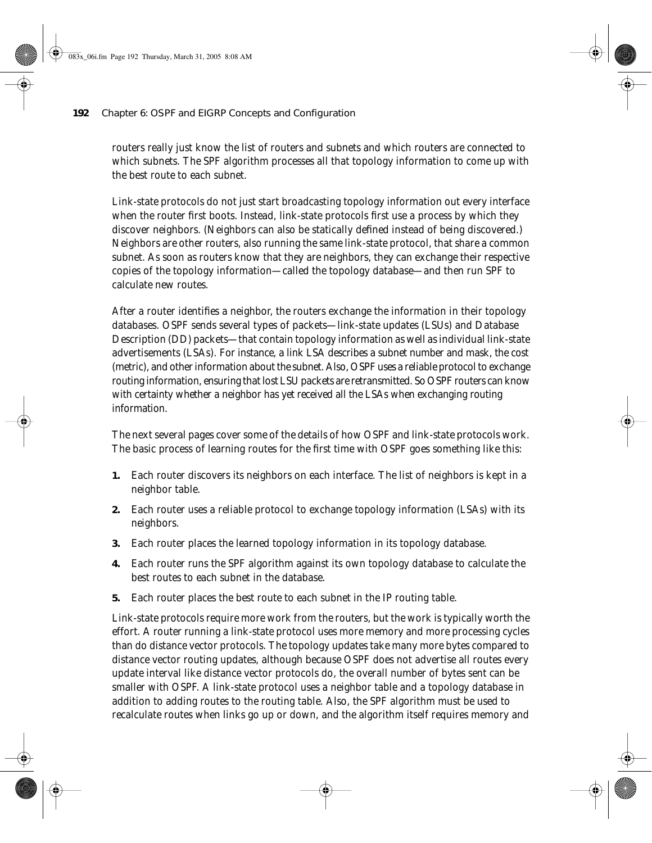routers really just know the list of routers and subnets and which routers are connected to which subnets. The SPF algorithm processes all that topology information to come up with the best route to each subnet.

Link-state protocols do not just start broadcasting topology information out every interface when the router first boots. Instead, link-state protocols first use a process by which they discover neighbors. (Neighbors can also be statically defined instead of being discovered.) *Neighbors* are other routers, also running the same link-state protocol, that share a common subnet. As soon as routers know that they are neighbors, they can exchange their respective copies of the topology information—called the *topology database*—and then run SPF to calculate new routes.

After a router identifies a neighbor, the routers exchange the information in their topology databases. OSPF sends several types of packets—*link-state updates* (LSUs) and *Database Description* (DD) packets—that contain topology information as well as individual link-state advertisements (LSAs). For instance, a link LSA describes a subnet number and mask, the cost (metric), and other information about the subnet. Also, OSPF uses a reliable protocol to exchange routing information, ensuring that lost LSU packets are retransmitted. So OSPF routers can know with certainty whether a neighbor has yet received all the LSAs when exchanging routing information.

The next several pages cover some of the details of how OSPF and link-state protocols work. The basic process of learning routes for the first time with OSPF goes something like this:

- **1.** Each router discovers its neighbors on each interface. The list of neighbors is kept in a neighbor table.
- **2.** Each router uses a reliable protocol to exchange topology information (LSAs) with its neighbors.
- **3.** Each router places the learned topology information in its topology database.
- **4.** Each router runs the SPF algorithm against its own topology database to calculate the best routes to each subnet in the database.
- **5.** Each router places the best route to each subnet in the IP routing table.

Link-state protocols require more work from the routers, but the work is typically worth the effort. A router running a link-state protocol uses more memory and more processing cycles than do distance vector protocols. The topology updates take many more bytes compared to distance vector routing updates, although because OSPF does not advertise all routes every update interval like distance vector protocols do, the overall number of bytes sent can be smaller with OSPF. A link-state protocol uses a neighbor table and a topology database in addition to adding routes to the routing table. Also, the SPF algorithm must be used to recalculate routes when links go up or down, and the algorithm itself requires memory and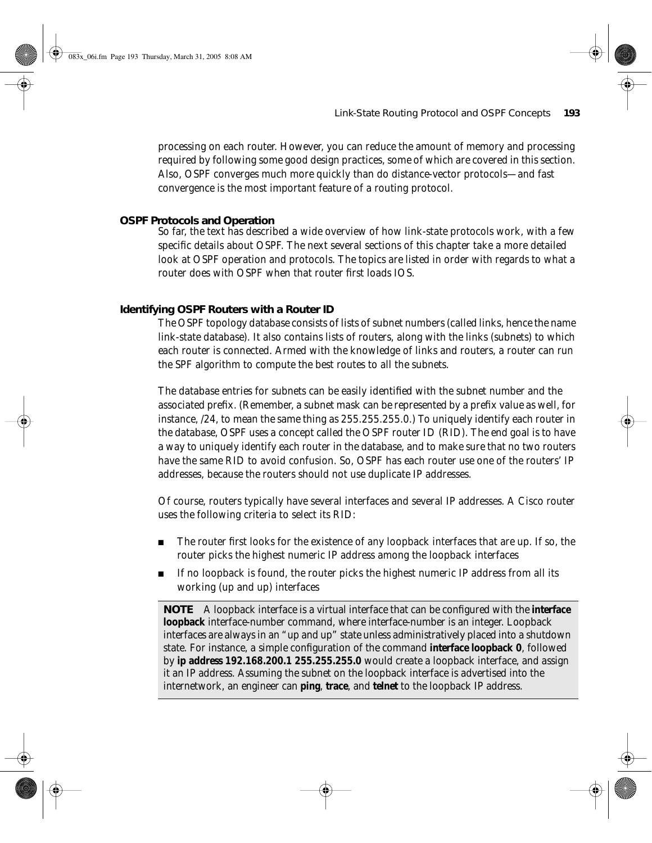processing on each router. However, you can reduce the amount of memory and processing required by following some good design practices, some of which are covered in this section. Also, OSPF converges much more quickly than do distance-vector protocols—and fast convergence is the most important feature of a routing protocol.

#### **OSPF Protocols and Operation**

So far, the text has described a wide overview of how link-state protocols work, with a few specific details about OSPF. The next several sections of this chapter take a more detailed look at OSPF operation and protocols. The topics are listed in order with regards to what a router does with OSPF when that router first loads IOS.

## **Identifying OSPF Routers with a Router ID**

The OSPF topology database consists of lists of subnet numbers (called *links*, hence the name *link-state database*). It also contains lists of routers, along with the links (subnets) to which each router is connected. Armed with the knowledge of links and routers, a router can run the SPF algorithm to compute the best routes to all the subnets.

The database entries for subnets can be easily identified with the subnet number and the associated prefix. (Remember, a subnet mask can be represented by a prefix value as well, for instance, /24, to mean the same thing as 255.255.255.0.) To uniquely identify each router in the database, OSPF uses a concept called the *OSPF router ID* (RID). The end goal is to have a way to uniquely identify each router in the database, and to make sure that no two routers have the same RID to avoid confusion. So, OSPF has each router use one of the routers' IP addresses, because the routers should not use duplicate IP addresses.

Of course, routers typically have several interfaces and several IP addresses. A Cisco router uses the following criteria to select its RID:

- The router first looks for the existence of any loopback interfaces that are up. If so, the router picks the highest numeric IP address among the loopback interfaces
- If no loopback is found, the router picks the highest numeric IP address from all its working (up and up) interfaces

**NOTE** A loopback interface is a virtual interface that can be configured with the **interface loopback** *interface-number* command, where *interface-number* is an integer. Loopback interfaces are always in an "up and up" state unless administratively placed into a shutdown state. For instance, a simple configuration of the command **interface loopback 0**, followed by **ip address 192.168.200.1 255.255.255.0** would create a loopback interface, and assign it an IP address. Assuming the subnet on the loopback interface is advertised into the internetwork, an engineer can **ping**, **trace**, and **telnet** to the loopback IP address.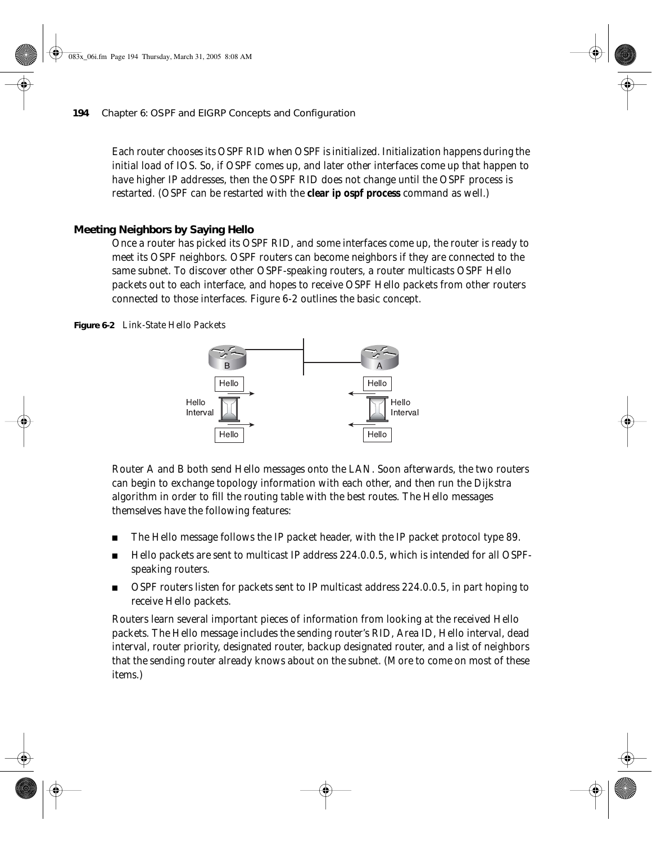Each router chooses its OSPF RID when OSPF is initialized. Initialization happens during the initial load of IOS. So, if OSPF comes up, and later other interfaces come up that happen to have higher IP addresses, then the OSPF RID does not change until the OSPF process is restarted. (OSPF can be restarted with the **clear ip ospf process** command as well.)

## **Meeting Neighbors by Saying Hello**

Once a router has picked its OSPF RID, and some interfaces come up, the router is ready to meet its OSPF neighbors. OSPF routers can become neighbors if they are connected to the same subnet. To discover other OSPF-speaking routers, a router multicasts OSPF Hello packets out to each interface, and hopes to receive OSPF Hello packets from other routers connected to those interfaces. Figure 6-2 outlines the basic concept.

## **Figure 6-2** *Link-State Hello Packets*



Router A and B both send Hello messages onto the LAN. Soon afterwards, the two routers can begin to exchange topology information with each other, and then run the Dijkstra algorithm in order to fill the routing table with the best routes. The Hello messages themselves have the following features:

- The Hello message follows the IP packet header, with the IP packet protocol type 89.
- Hello packets are sent to multicast IP address 224.0.0.5, which is intended for all OSPFspeaking routers.
- OSPF routers listen for packets sent to IP multicast address 224.0.0.5, in part hoping to receive Hello packets.

Routers learn several important pieces of information from looking at the received Hello packets. The Hello message includes the sending router's RID, Area ID, Hello interval, dead interval, router priority, designated router, backup designated router, and a list of neighbors that the sending router already knows about on the subnet. (More to come on most of these items.)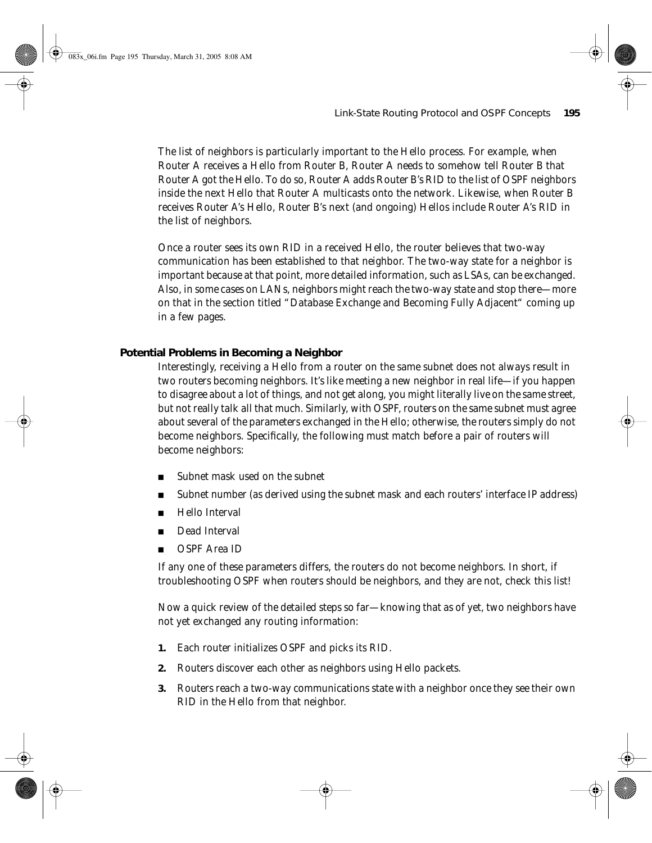The list of neighbors is particularly important to the Hello process. For example, when Router A receives a Hello from Router B, Router A needs to somehow tell Router B that Router A got the Hello. To do so, Router A adds Router B's RID to the list of OSPF neighbors inside the next Hello that Router A multicasts onto the network. Likewise, when Router B receives Router A's Hello, Router B's next (and ongoing) Hellos include Router A's RID in the list of neighbors.

Once a router sees its own RID in a received Hello, the router believes that *two-way* communication has been established to that neighbor. The two-way state for a neighbor is important because at that point, more detailed information, such as LSAs, can be exchanged. Also, in some cases on LANs, neighbors might reach the two-way state and stop there—more on that in the section titled "Database Exchange and Becoming Fully Adjacent" coming up in a few pages.

## **Potential Problems in Becoming a Neighbor**

Interestingly, receiving a Hello from a router on the same subnet does not always result in two routers becoming neighbors. It's like meeting a new neighbor in real life—if you happen to disagree about a lot of things, and not get along, you might literally live on the same street, but not really talk all that much. Similarly, with OSPF, routers on the same subnet must agree about several of the parameters exchanged in the Hello; otherwise, the routers simply do not become neighbors. Specifically, the following must match before a pair of routers will become neighbors:

- Subnet mask used on the subnet
- Subnet number (as derived using the subnet mask and each routers' interface IP address)
- Hello Interval
- Dead Interval
- OSPF Area ID

If any one of these parameters differs, the routers do not become neighbors. In short, if troubleshooting OSPF when routers should be neighbors, and they are not, check this list!

Now a quick review of the detailed steps so far—knowing that as of yet, two neighbors have not yet exchanged any routing information:

- **1.** Each router initializes OSPF and picks its RID.
- **2.** Routers discover each other as neighbors using Hello packets.
- **3.** Routers reach a two-way communications state with a neighbor once they see their own RID in the Hello from that neighbor.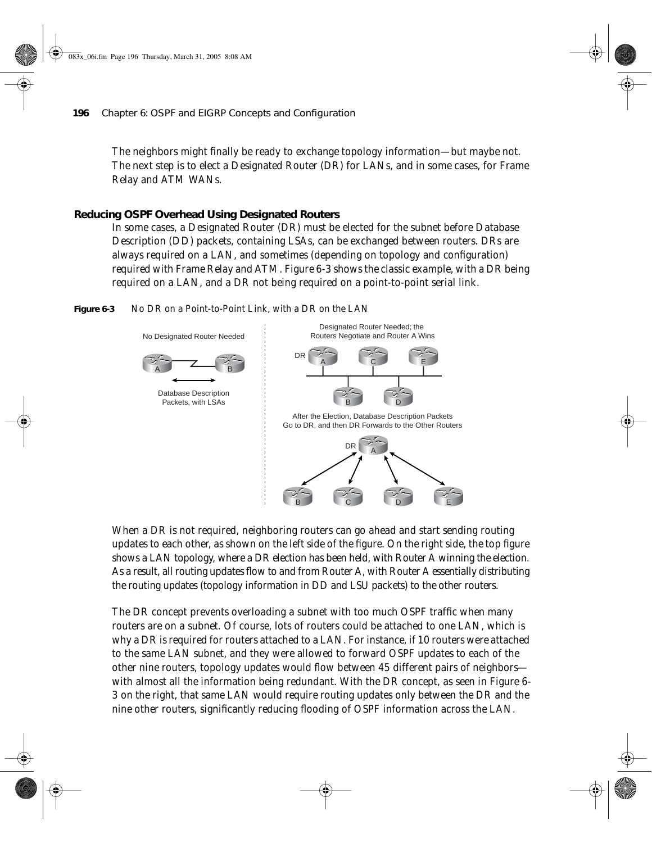The neighbors might finally be ready to exchange topology information—but maybe not. The next step is to elect a *Designated Router* (DR) for LANs, and in some cases, for Frame Relay and ATM WANs.

## **Reducing OSPF Overhead Using Designated Routers**

In some cases, a *Designated Router* (DR) must be elected for the subnet before *Database Description (DD)* packets, containing LSAs, can be exchanged between routers. DRs are always required on a LAN, and sometimes (depending on topology and configuration) required with Frame Relay and ATM. Figure 6-3 shows the classic example, with a DR being required on a LAN, and a DR not being required on a point-to-point serial link.

#### **Figure 6-3** *No DR on a Point-to-Point Link, with a DR on the LAN*



When a DR is not required, neighboring routers can go ahead and start sending routing updates to each other, as shown on the left side of the figure. On the right side, the top figure shows a LAN topology, where a DR election has been held, with Router A winning the election. As a result, all routing updates flow to and from Router A, with Router A essentially distributing the routing updates (topology information in DD and LSU packets) to the other routers.

The DR concept prevents overloading a subnet with too much OSPF traffic when many routers are on a subnet. Of course, lots of routers could be attached to one LAN, which is why a DR is required for routers attached to a LAN. For instance, if 10 routers were attached to the same LAN subnet, and they were allowed to forward OSPF updates to each of the other nine routers, topology updates would flow between 45 different pairs of neighbors with almost all the information being redundant. With the DR concept, as seen in Figure 6- 3 on the right, that same LAN would require routing updates only between the DR and the nine other routers, significantly reducing flooding of OSPF information across the LAN.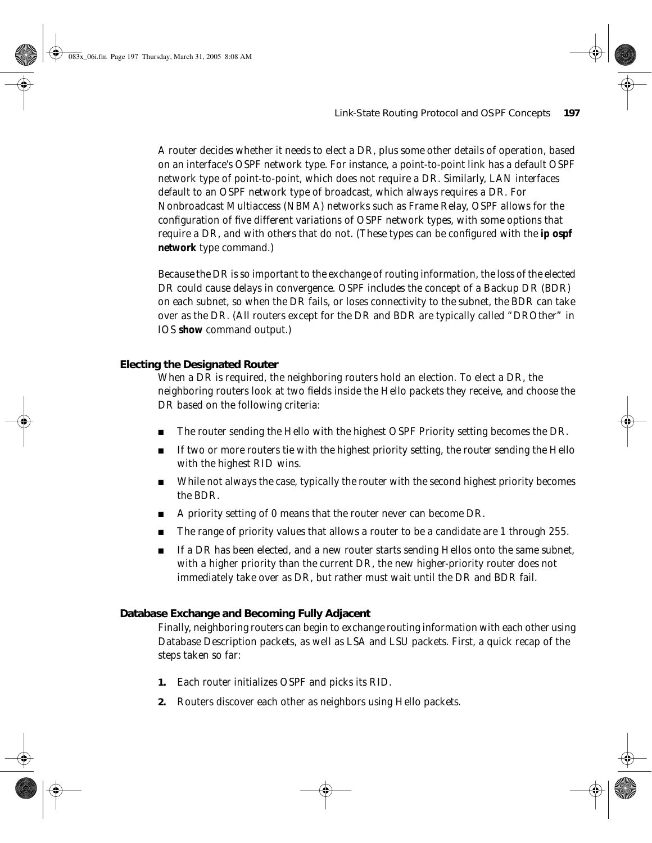A router decides whether it needs to elect a DR, plus some other details of operation, based on an interface's OSPF *network type*. For instance, a point-to-point link has a default OSPF network type of *point-to-point*, which does not require a DR. Similarly, LAN interfaces default to an OSPF network type of *broadcast*, which always requires a DR. For Nonbroadcast Multiaccess (NBMA) networks such as Frame Relay, OSPF allows for the configuration of five different variations of OSPF network types, with some options that require a DR, and with others that do not. (These types can be configured with the **ip ospf network** *type* command.)

Because the DR is so important to the exchange of routing information, the loss of the elected DR could cause delays in convergence. OSPF includes the concept of a *Backup DR* (BDR) on each subnet, so when the DR fails, or loses connectivity to the subnet, the BDR can take over as the DR. (All routers except for the DR and BDR are typically called "DROther" in IOS **show** command output.)

## **Electing the Designated Router**

When a DR is required, the neighboring routers hold an election. To elect a DR, the neighboring routers look at two fields inside the Hello packets they receive, and choose the DR based on the following criteria:

- The router sending the Hello with the *highest OSPF Priority* setting becomes the DR.
- If two or more routers tie with the highest priority setting, the router sending the Hello with the *highest RID* wins.
- While not always the case, typically the router with the second highest priority becomes the BDR.
- A priority setting of 0 means that the router never can become DR.
- The range of priority values that allows a router to be a candidate are 1 through 255.
- If a DR has been elected, and a new router starts sending Hellos onto the same subnet, with a higher priority than the current DR, the new higher-priority router does *not* immediately take over as DR, but rather must wait until the DR and BDR fail.

## **Database Exchange and Becoming Fully Adjacent**

Finally, neighboring routers can begin to exchange routing information with each other using Database Description packets, as well as LSA and LSU packets. First, a quick recap of the steps taken so far:

- **1.** Each router initializes OSPF and picks its RID.
- **2.** Routers discover each other as neighbors using Hello packets.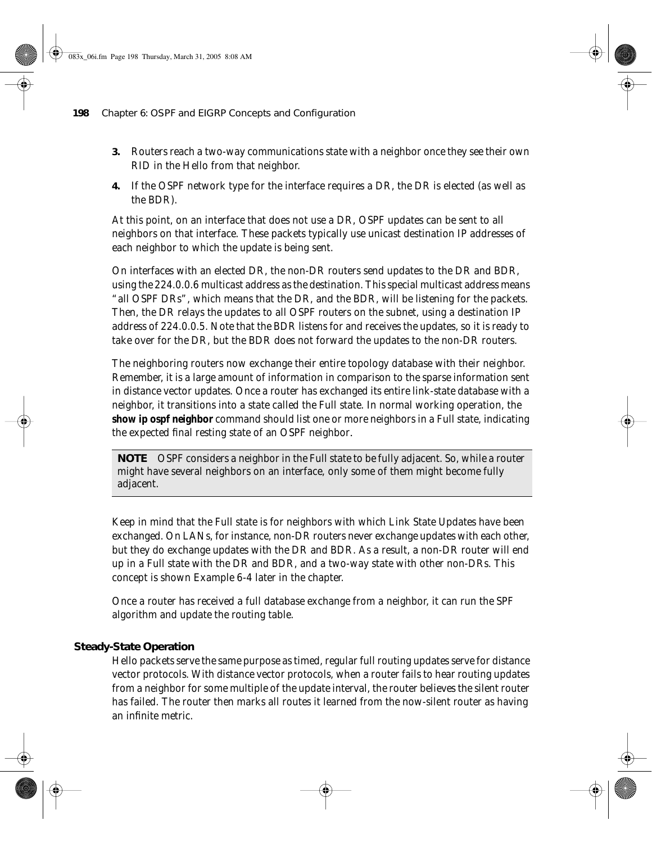- **3.** Routers reach a two-way communications state with a neighbor once they see their own RID in the Hello from that neighbor.
- **4.** If the OSPF network type for the interface requires a DR, the DR is elected (as well as the BDR).

At this point, on an interface that does not use a DR, OSPF updates can be sent to all neighbors on that interface. These packets typically use unicast destination IP addresses of each neighbor to which the update is being sent.

On interfaces with an elected DR, the non-DR routers send updates to the DR and BDR, using the 224.0.0.6 multicast address as the destination. This special multicast address means "all OSPF DRs", which means that the DR, and the BDR, will be listening for the packets. Then, the DR relays the updates to all OSPF routers on the subnet, using a destination IP address of 224.0.0.5. Note that the BDR listens for and receives the updates, so it is ready to take over for the DR, but the BDR does not forward the updates to the non-DR routers.

The neighboring routers now exchange their entire topology database with their neighbor. Remember, it is a large amount of information in comparison to the sparse information sent in distance vector updates. Once a router has exchanged its entire link-state database with a neighbor, it transitions into a state called the *Full* state. In normal working operation, the **show ip ospf neighbor** command should list one or more neighbors in a Full state, indicating the expected final resting state of an OSPF neighbor.

**NOTE** OSPF considers a neighbor in the Full state to be *fully adjacent*. So, while a router might have several neighbors on an interface, only some of them might become *fully adjacent*.

Keep in mind that the Full state is for neighbors with which Link State Updates have been exchanged. On LANs, for instance, non-DR routers never exchange updates with each other, but they do exchange updates with the DR and BDR. As a result, a non-DR router will end up in a Full state with the DR and BDR, and a two-way state with other non-DRs. This concept is shown Example 6-4 later in the chapter.

Once a router has received a full database exchange from a neighbor, it can run the SPF algorithm and update the routing table.

## **Steady-State Operation**

Hello packets serve the same purpose as timed, regular full routing updates serve for distance vector protocols. With distance vector protocols, when a router fails to hear routing updates from a neighbor for some multiple of the update interval, the router believes the silent router has failed. The router then marks all routes it learned from the now-silent router as having an infinite metric.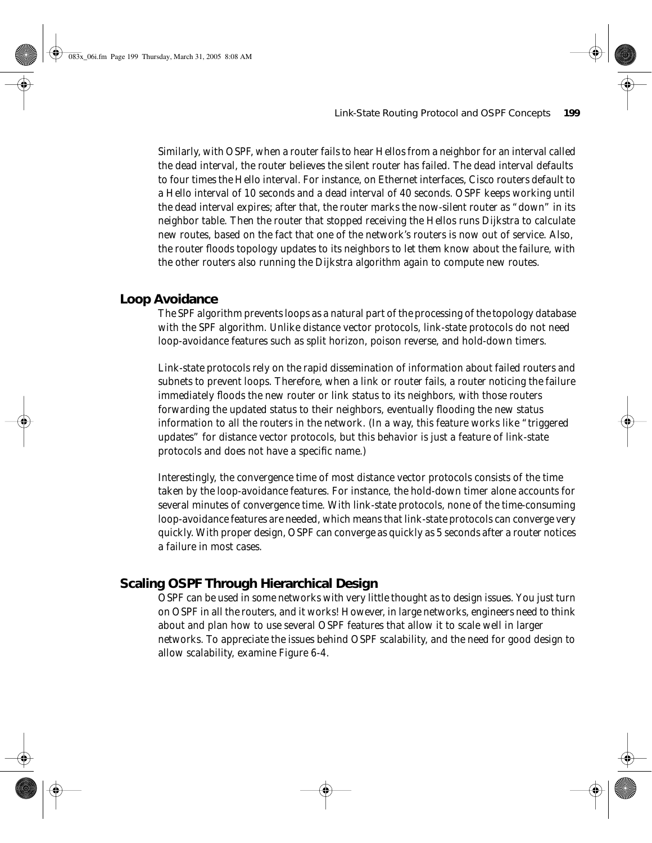Similarly, with OSPF, when a router fails to hear Hellos from a neighbor for an interval called the *dead interval,* the router believes the silent router has failed. The dead interval defaults to four times the Hello interval. For instance, on Ethernet interfaces, Cisco routers default to a Hello interval of 10 seconds and a dead interval of 40 seconds. OSPF keeps working until the dead interval expires; after that, the router marks the now-silent router as "down" in its neighbor table. Then the router that stopped receiving the Hellos runs Dijkstra to calculate new routes, based on the fact that one of the network's routers is now out of service. Also, the router floods topology updates to its neighbors to let them know about the failure, with the other routers also running the Dijkstra algorithm again to compute new routes.

## **Loop Avoidance**

The SPF algorithm prevents loops as a natural part of the processing of the topology database with the SPF algorithm. Unlike distance vector protocols, link-state protocols do not need loop-avoidance features such as split horizon, poison reverse, and hold-down timers.

Link-state protocols rely on the rapid dissemination of information about failed routers and subnets to prevent loops. Therefore, when a link or router fails, a router noticing the failure immediately floods the new router or link status to its neighbors, with those routers forwarding the updated status to their neighbors, eventually flooding the new status information to all the routers in the network. (In a way, this feature works like "triggered updates" for distance vector protocols, but this behavior is just a feature of link-state protocols and does not have a specific name.)

Interestingly, the convergence time of most distance vector protocols consists of the time taken by the loop-avoidance features. For instance, the hold-down timer alone accounts for several minutes of convergence time. With link-state protocols, none of the time-consuming loop-avoidance features are needed, which means that link-state protocols can converge very quickly. With proper design, OSPF can converge as quickly as 5 seconds after a router notices a failure in most cases.

## **Scaling OSPF Through Hierarchical Design**

OSPF can be used in some networks with very little thought as to design issues. You just turn on OSPF in all the routers, and it works! However, in large networks, engineers need to think about and plan how to use several OSPF features that allow it to scale well in larger networks. To appreciate the issues behind OSPF scalability, and the need for good design to allow scalability, examine Figure 6-4.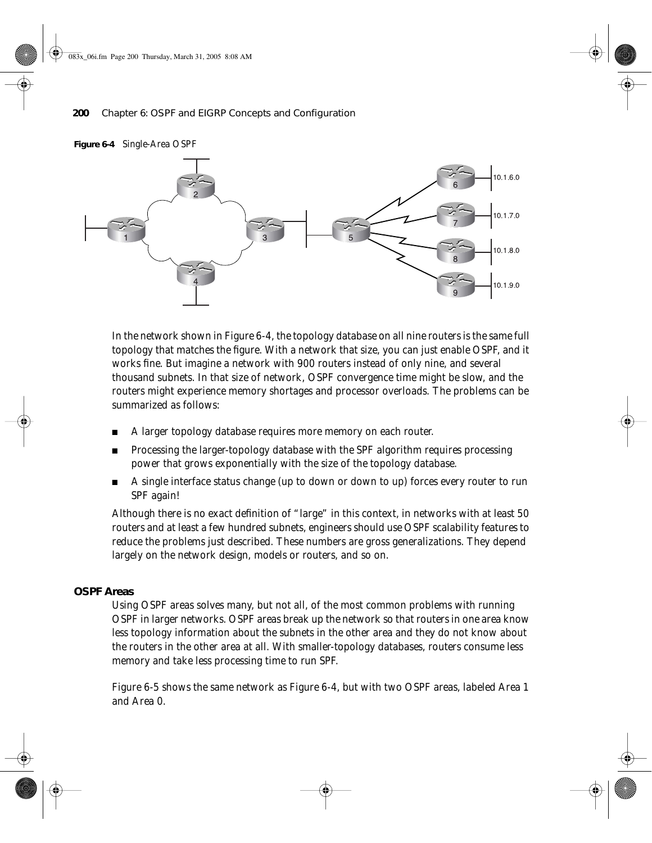



In the network shown in Figure 6-4, the topology database on all nine routers is the same full topology that matches the figure. With a network that size, you can just enable OSPF, and it works fine. But imagine a network with 900 routers instead of only nine, and several thousand subnets. In that size of network, OSPF convergence time might be slow, and the routers might experience memory shortages and processor overloads. The problems can be summarized as follows:

- A larger topology database requires more memory on each router.
- Processing the larger-topology database with the SPF algorithm requires processing power that grows exponentially with the size of the topology database.
- A single interface status change (up to down or down to up) forces every router to run SPF again!

Although there is no exact definition of "large" in this context, in networks with at least 50 routers and at least a few hundred subnets, engineers should use OSPF scalability features to reduce the problems just described. These numbers are gross generalizations. They depend largely on the network design, models or routers, and so on.

## **OSPF Areas**

Using OSPF areas solves many, but not all, of the most common problems with running OSPF in larger networks. OSPF areas break up the network so that routers in one area know less topology information about the subnets in the other area and they do not know about the routers in the other area at all. With smaller-topology databases, routers consume less memory and take less processing time to run SPF.

Figure 6-5 shows the same network as Figure 6-4, but with two OSPF areas, labeled Area 1 and Area 0.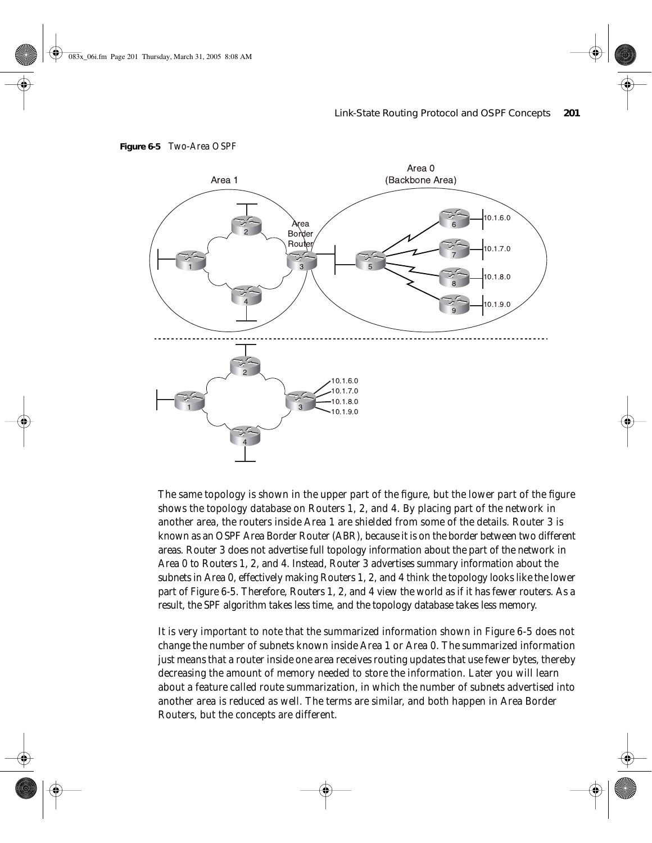



The same topology is shown in the upper part of the figure, but the lower part of the figure shows the topology database on Routers 1, 2, and 4. By placing part of the network in another area, the routers inside Area 1 are shielded from some of the details. Router 3 is known as an OSPF Area Border Router (ABR), because it is on the border between two different areas. Router 3 does not advertise full topology information about the part of the network in Area 0 to Routers 1, 2, and 4. Instead, Router 3 advertises summary information about the subnets in Area 0, effectively making Routers 1, 2, and 4 think the topology looks like the lower part of Figure 6-5. Therefore, Routers 1, 2, and 4 view the world as if it has fewer routers. As a result, the SPF algorithm takes less time, and the topology database takes less memory.

It is very important to note that the summarized information shown in Figure 6-5 does not change the number of subnets known inside Area 1 or Area 0. The summarized information just means that a router inside one area receives routing updates that use fewer bytes, thereby decreasing the amount of memory needed to store the information. Later you will learn about a feature called *route summarization,* in which the number of subnets advertised into another area is reduced as well. The terms are similar, and both happen in Area Border Routers, but the concepts are different.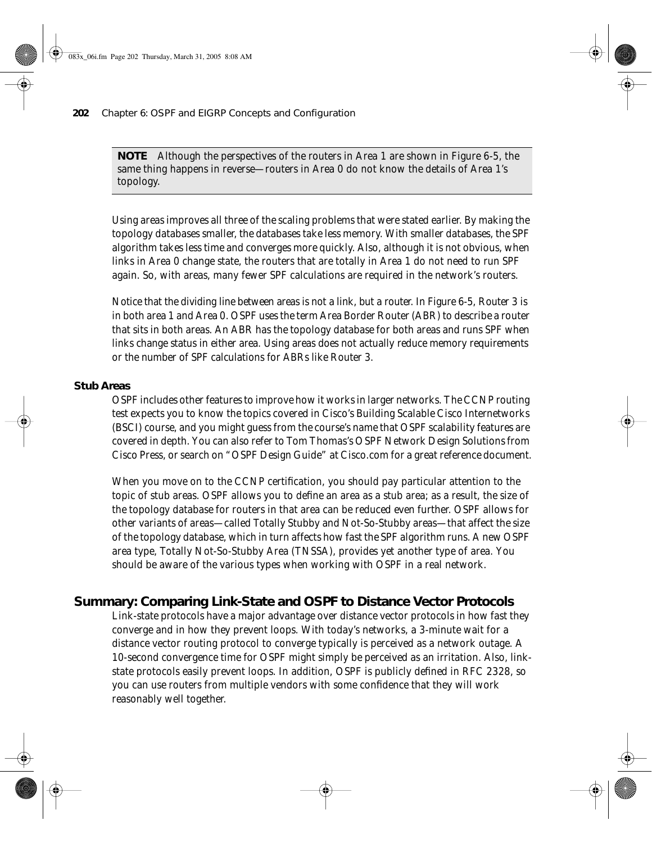**NOTE** Although the perspectives of the routers in Area 1 are shown in Figure 6-5, the same thing happens in reverse—routers in Area 0 do not know the details of Area 1's topology.

Using areas improves all three of the scaling problems that were stated earlier. By making the topology databases smaller, the databases take less memory. With smaller databases, the SPF algorithm takes less time and converges more quickly. Also, although it is not obvious, when links in Area 0 change state, the routers that are totally in Area 1 do not need to run SPF again. So, with areas, many fewer SPF calculations are required in the network's routers.

Notice that the dividing line between areas is not a link, but a router. In Figure 6-5, Router 3 is in both area 1 and Area 0. OSPF uses the term Area Border Router (ABR) to describe a router that sits in both areas. An ABR has the topology database for both areas and runs SPF when links change status in either area. Using areas does not actually reduce memory requirements or the number of SPF calculations for ABRs like Router 3.

## **Stub Areas**

OSPF includes other features to improve how it works in larger networks. The CCNP routing test expects you to know the topics covered in Cisco's Building Scalable Cisco Internetworks (BSCI) course, and you might guess from the course's name that OSPF scalability features are covered in depth. You can also refer to Tom Thomas's *OSPF Network Design Solutions* from Cisco Press, or search on "OSPF Design Guide" at Cisco.com for a great reference document.

When you move on to the CCNP certification, you should pay particular attention to the topic of stub areas. OSPF allows you to define an area as a stub area; as a result, the size of the topology database for routers in that area can be reduced even further. OSPF allows for other variants of areas—called Totally Stubby and Not-So-Stubby areas—that affect the size of the topology database, which in turn affects how fast the SPF algorithm runs. A new OSPF area type, Totally Not-So-Stubby Area (TNSSA), provides yet another type of area. You should be aware of the various types when working with OSPF in a real network.

## **Summary: Comparing Link-State and OSPF to Distance Vector Protocols**

Link-state protocols have a major advantage over distance vector protocols in how fast they converge and in how they prevent loops. With today's networks, a 3-minute wait for a distance vector routing protocol to converge typically is perceived as a network outage. A 10-second convergence time for OSPF might simply be perceived as an irritation. Also, linkstate protocols easily prevent loops. In addition, OSPF is publicly defined in RFC 2328, so you can use routers from multiple vendors with some confidence that they will work reasonably well together.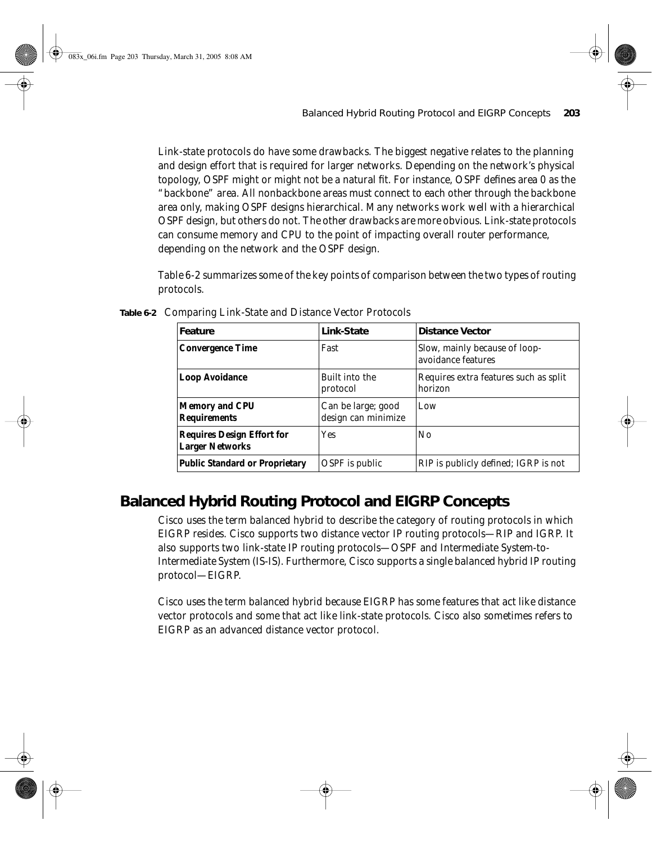Link-state protocols do have some drawbacks. The biggest negative relates to the planning and design effort that is required for larger networks. Depending on the network's physical topology, OSPF might or might not be a natural fit. For instance, OSPF defines area 0 as the "backbone" area. All nonbackbone areas must connect to each other through the backbone area only, making OSPF designs hierarchical. Many networks work well with a hierarchical OSPF design, but others do not. The other drawbacks are more obvious. Link-state protocols can consume memory and CPU to the point of impacting overall router performance, depending on the network and the OSPF design.

Table 6-2 summarizes some of the key points of comparison between the two types of routing protocols.

| Feature                                                     | Link-State                                | <b>Distance Vector</b>                              |
|-------------------------------------------------------------|-------------------------------------------|-----------------------------------------------------|
| <b>Convergence Time</b>                                     | Fast                                      | Slow, mainly because of loop-<br>avoidance features |
| <b>Loop Avoidance</b>                                       | Built into the<br>protocol                | Requires extra features such as split<br>horizon    |
| <b>Memory and CPU</b><br><b>Requirements</b>                | Can be large; good<br>design can minimize | Low                                                 |
| <b>Requires Design Effort for</b><br><b>Larger Networks</b> | <b>Yes</b>                                | N <sub>0</sub>                                      |
| <b>Public Standard or Proprietary</b>                       | OSPF is public                            | RIP is publicly defined; IGRP is not                |

**Table 6-2** *Comparing Link-State and Distance Vector Protocols*

# **Balanced Hybrid Routing Protocol and EIGRP Concepts**

Cisco uses the term *balanced hybrid* to describe the category of routing protocols in which EIGRP resides. Cisco supports two distance vector IP routing protocols—RIP and IGRP. It also supports two link-state IP routing protocols—OSPF and Intermediate System-to-Intermediate System (IS-IS). Furthermore, Cisco supports a single balanced hybrid IP routing protocol—EIGRP.

Cisco uses the term balanced hybrid because EIGRP has some features that act like distance vector protocols and some that act like link-state protocols. Cisco also sometimes refers to EIGRP as an advanced distance vector protocol.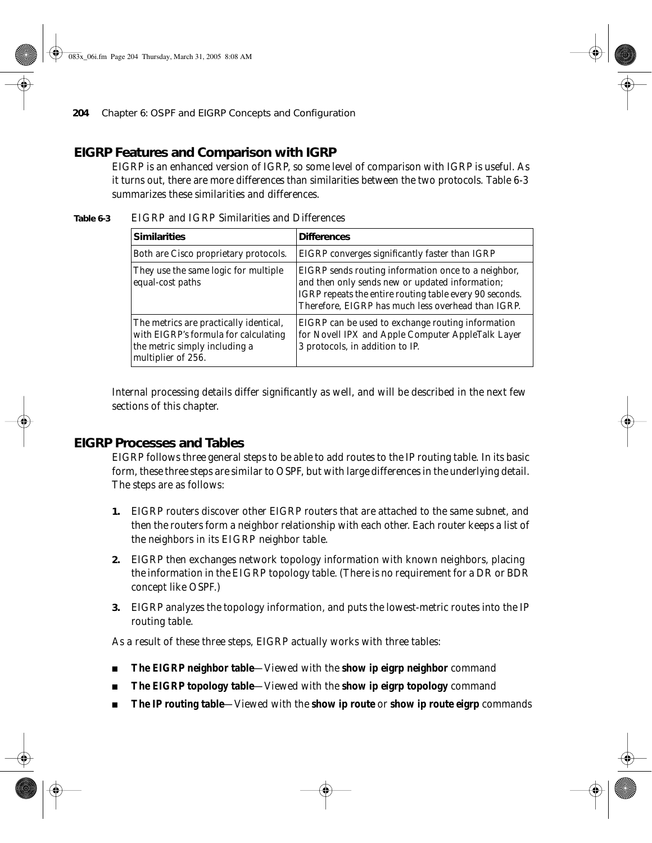## **EIGRP Features and Comparison with IGRP**

EIGRP is an enhanced version of IGRP, so some level of comparison with IGRP is useful. As it turns out, there are more differences than similarities between the two protocols. Table 6-3 summarizes these similarities and differences.

| <b>Similarities</b>                                                                                                                   | <b>Differences</b>                                                                                                                                                                                                      |
|---------------------------------------------------------------------------------------------------------------------------------------|-------------------------------------------------------------------------------------------------------------------------------------------------------------------------------------------------------------------------|
| Both are Cisco proprietary protocols.                                                                                                 | EIGRP converges significantly faster than IGRP                                                                                                                                                                          |
| They use the same logic for multiple<br>equal-cost paths                                                                              | EIGRP sends routing information once to a neighbor,<br>and then only sends new or updated information;<br>IGRP repeats the entire routing table every 90 seconds.<br>Therefore, EIGRP has much less overhead than IGRP. |
| The metrics are practically identical,<br>with EIGRP's formula for calculating<br>the metric simply including a<br>multiplier of 256. | EIGRP can be used to exchange routing information<br>for Novell IPX and Apple Computer AppleTalk Layer<br>3 protocols, in addition to IP.                                                                               |

**Table 6-3** *EIGRP and IGRP Similarities and Differences*

Internal processing details differ significantly as well, and will be described in the next few sections of this chapter.

## **EIGRP Processes and Tables**

EIGRP follows three general steps to be able to add routes to the IP routing table. In its basic form, these three steps are similar to OSPF, but with large differences in the underlying detail. The steps are as follows:

- **1.** EIGRP routers discover other EIGRP routers that are attached to the same subnet, and then the routers form a *neighbor relationship* with each other. Each router keeps a list of the neighbors in its *EIGRP neighbor table*.
- **2.** EIGRP then exchanges network topology information with known neighbors, placing the information in the *EIGRP topology table*. (There is no requirement for a DR or BDR concept like OSPF.)
- **3.** EIGRP analyzes the topology information, and puts the lowest-metric routes into the IP routing table.

As a result of these three steps, EIGRP actually works with three tables:

- **The EIGRP neighbor table**—Viewed with the **show ip eigrp neighbor** command
- **The EIGRP topology table—Viewed with the <b>show ip eigrp topology** command
- **The IP routing table**—Viewed with the **show ip route** or **show ip route eigrp** commands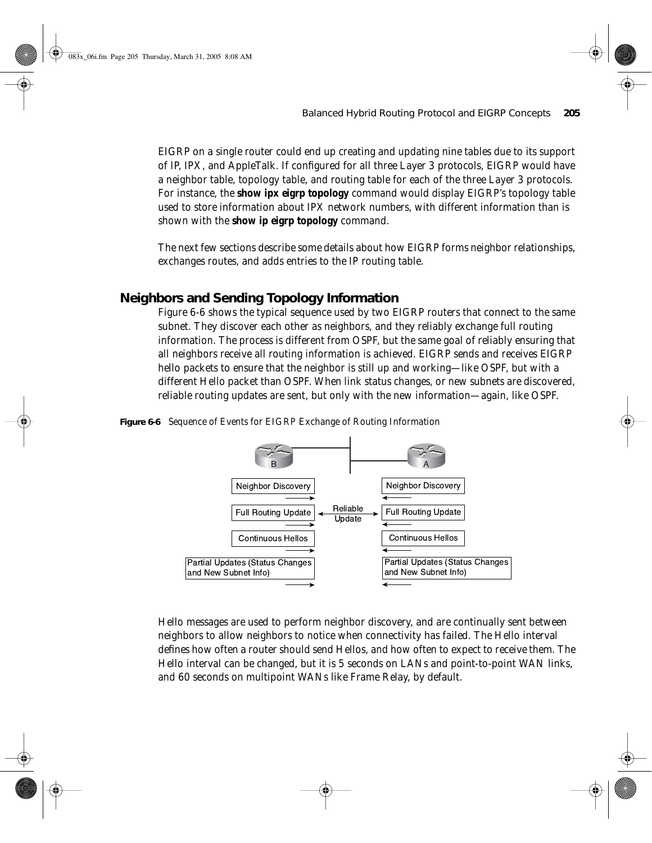EIGRP on a single router could end up creating and updating nine tables due to its support of IP, IPX, and AppleTalk. If configured for all three Layer 3 protocols, EIGRP would have a neighbor table, topology table, and routing table for each of the three Layer 3 protocols. For instance, the **show ipx eigrp topology** command would display EIGRP's topology table used to store information about IPX network numbers, with different information than is shown with the **show ip eigrp topology** command.

The next few sections describe some details about how EIGRP forms neighbor relationships, exchanges routes, and adds entries to the IP routing table.

## **Neighbors and Sending Topology Information**

Figure 6-6 shows the typical sequence used by two EIGRP routers that connect to the same subnet. They discover each other as neighbors, and they reliably exchange full routing information. The process is different from OSPF, but the same goal of reliably ensuring that all neighbors receive all routing information is achieved. EIGRP sends and receives EIGRP hello packets to ensure that the neighbor is still up and working—like OSPF, but with a different Hello packet than OSPF. When link status changes, or new subnets are discovered, reliable routing updates are sent, but only with the new information—again, like OSPF.

## **Figure 6-6** *Sequence of Events for EIGRP Exchange of Routing Information*



Hello messages are used to perform neighbor discovery, and are continually sent between neighbors to allow neighbors to notice when connectivity has failed. The *Hello interval* defines how often a router should send Hellos, and how often to expect to receive them. The Hello interval can be changed, but it is 5 seconds on LANs and point-to-point WAN links, and 60 seconds on multipoint WANs like Frame Relay, by default.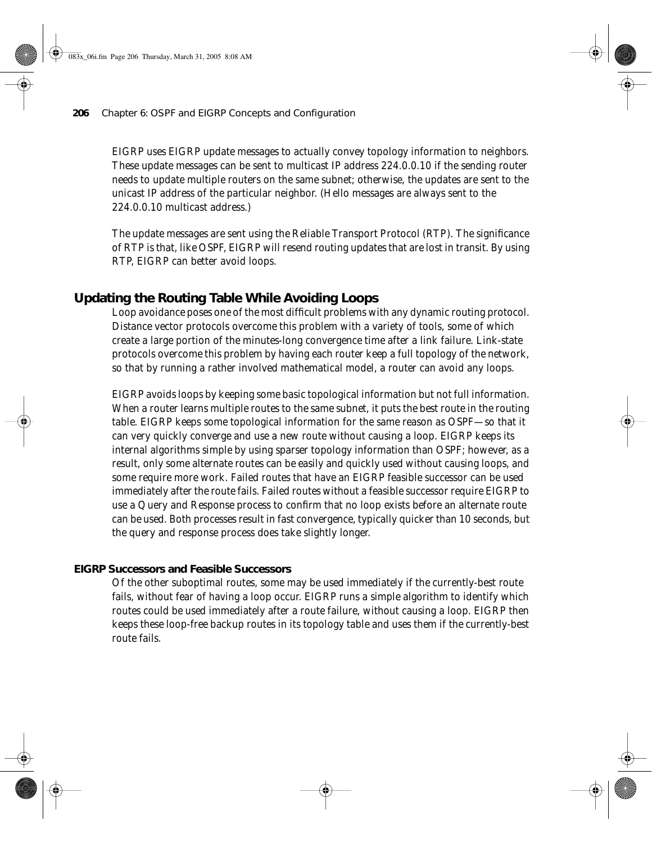EIGRP uses EIGRP *update messages* to actually convey topology information to neighbors. These update messages can be sent to multicast IP address 224.0.0.10 if the sending router needs to update multiple routers on the same subnet; otherwise, the updates are sent to the unicast IP address of the particular neighbor. (Hello messages are always sent to the 224.0.0.10 multicast address.)

The update messages are sent using the *Reliable Transport Protocol (RTP)*. The significance of RTP is that, like OSPF, EIGRP will resend routing updates that are lost in transit. By using RTP, EIGRP can better avoid loops.

## **Updating the Routing Table While Avoiding Loops**

Loop avoidance poses one of the most difficult problems with any dynamic routing protocol. Distance vector protocols overcome this problem with a variety of tools, some of which create a large portion of the minutes-long convergence time after a link failure. Link-state protocols overcome this problem by having each router keep a full topology of the network, so that by running a rather involved mathematical model, a router can avoid any loops.

EIGRP avoids loops by keeping some basic topological information but not full information. When a router learns multiple routes to the same subnet, it puts the best route in the routing table. EIGRP keeps some topological information for the same reason as OSPF—so that it can very quickly converge and use a new route without causing a loop. EIGRP keeps its internal algorithms simple by using sparser topology information than OSPF; however, as a result, only some alternate routes can be easily and quickly used without causing loops, and some require more work. Failed routes that have an EIGRP *feasible successor* can be used immediately after the route fails. Failed routes without a feasible successor require EIGRP to use a *Query and Response* process to confirm that no loop exists before an alternate route can be used. Both processes result in fast convergence, typically quicker than 10 seconds, but the query and response process does take slightly longer.

## **EIGRP Successors and Feasible Successors**

Of the other suboptimal routes, some may be used immediately if the currently-best route fails, without fear of having a loop occur. EIGRP runs a simple algorithm to identify which routes could be used immediately after a route failure, without causing a loop. EIGRP then keeps these loop-free backup routes in its topology table and uses them if the currently-best route fails.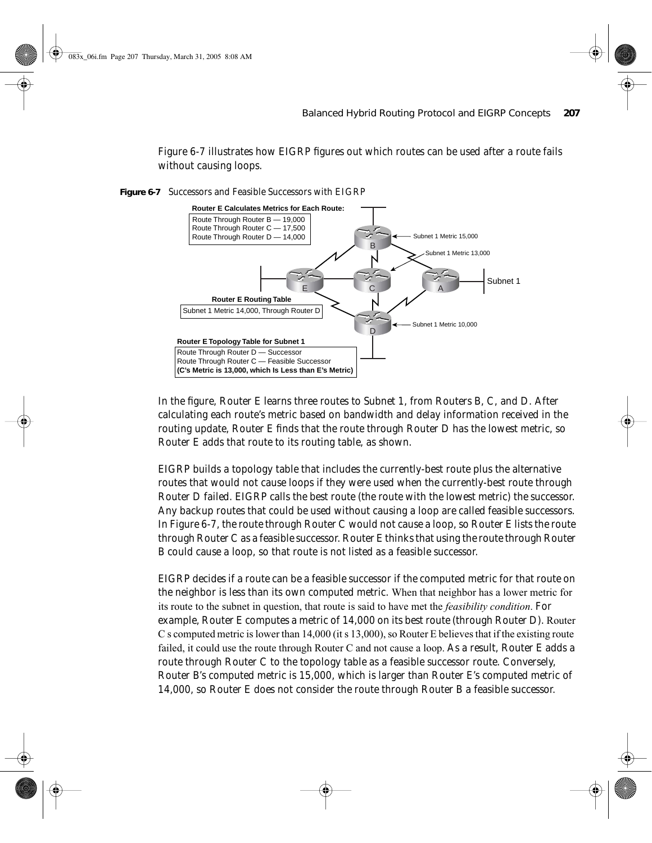Figure 6-7 illustrates how EIGRP figures out which routes can be used after a route fails without causing loops.



**Figure 6-7** *Successors and Feasible Successors with EIGRP*

In the figure, Router E learns three routes to Subnet 1, from Routers B, C, and D. After calculating each route's metric based on bandwidth and delay information received in the routing update, Router E finds that the route through Router D has the lowest metric, so Router E adds that route to its routing table, as shown.

EIGRP builds a topology table that includes the currently-best route plus the alternative routes that would not cause loops if they were used when the currently-best route through Router D failed. EIGRP calls the best route (the route with the lowest metric) the *successor*. Any backup routes that could be used without causing a loop are called *feasible successors*. In Figure 6-7, the route through Router C would not cause a loop, so Router E lists the route through Router C as a feasible successor. Router E thinks that using the route through Router B could cause a loop, so that route is not listed as a feasible successor.

EIGRP decides if a route can be a feasible successor if the computed metric for that route on the neighbor is less than its own computed metric. When that neighbor has a lower metric for its route to the subnet in question, that route is said to have met the *feasibility condition*. For example, Router E computes a metric of 14,000 on its best route (through Router D). Router C s computed metric is lower than 14,000 (it s 13,000), so Router E believes that if the existing route failed, it could use the route through Router C and not cause a loop. As a result, Router E adds a route through Router C to the topology table as a feasible successor route. Conversely, Router B's computed metric is 15,000, which is larger than Router E's computed metric of 14,000, so Router E does not consider the route through Router B a feasible successor.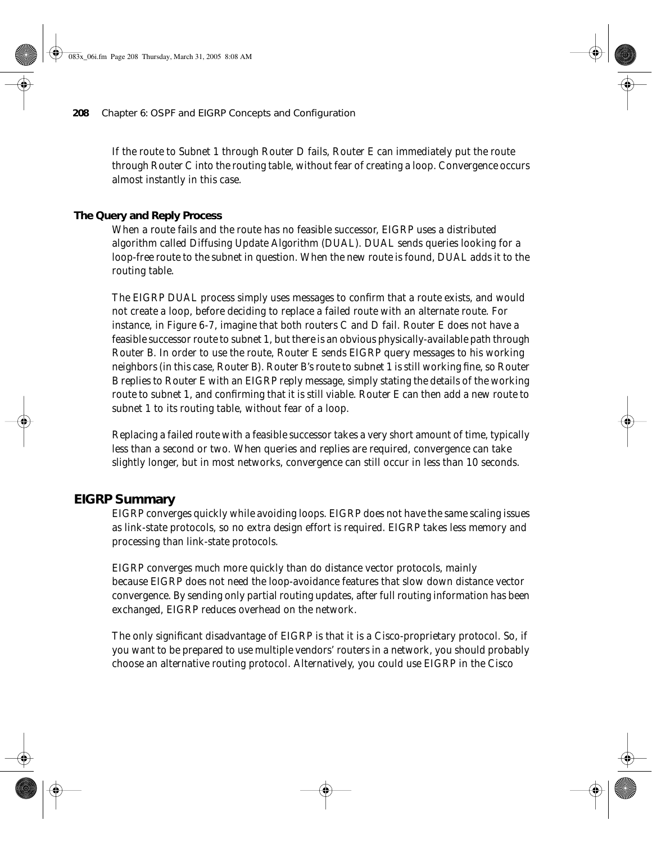If the route to Subnet 1 through Router D fails, Router E can immediately put the route through Router C into the routing table, without fear of creating a loop. Convergence occurs almost instantly in this case.

## **The Query and Reply Process**

When a route fails and the route has no feasible successor, EIGRP uses a distributed algorithm called Diffusing Update Algorithm (DUAL). DUAL sends queries looking for a loop-free route to the subnet in question. When the new route is found, DUAL adds it to the routing table.

The EIGRP DUAL process simply uses messages to confirm that a route exists, and would not create a loop, before deciding to replace a failed route with an alternate route. For instance, in Figure 6-7, imagine that both routers C and D fail. Router E does not have a feasible successor route to subnet 1, but there is an obvious physically-available path through Router B. In order to use the route, Router E sends EIGRP *query* messages to his working neighbors (in this case, Router B). Router B's route to subnet 1 is still working fine, so Router B replies to Router E with an EIGRP *reply* message, simply stating the details of the working route to subnet 1, and confirming that it is still viable. Router E can then add a new route to subnet 1 to its routing table, without fear of a loop.

Replacing a failed route with a feasible successor takes a very short amount of time, typically less than a second or two. When queries and replies are required, convergence can take slightly longer, but in most networks, convergence can still occur in less than 10 seconds.

## **EIGRP Summary**

EIGRP converges quickly while avoiding loops. EIGRP does not have the same scaling issues as link-state protocols, so no extra design effort is required. EIGRP takes less memory and processing than link-state protocols.

EIGRP converges much more quickly than do distance vector protocols, mainly because EIGRP does not need the loop-avoidance features that slow down distance vector convergence. By sending only partial routing updates, after full routing information has been exchanged, EIGRP reduces overhead on the network.

The only significant disadvantage of EIGRP is that it is a Cisco-proprietary protocol. So, if you want to be prepared to use multiple vendors' routers in a network, you should probably choose an alternative routing protocol. Alternatively, you could use EIGRP in the Cisco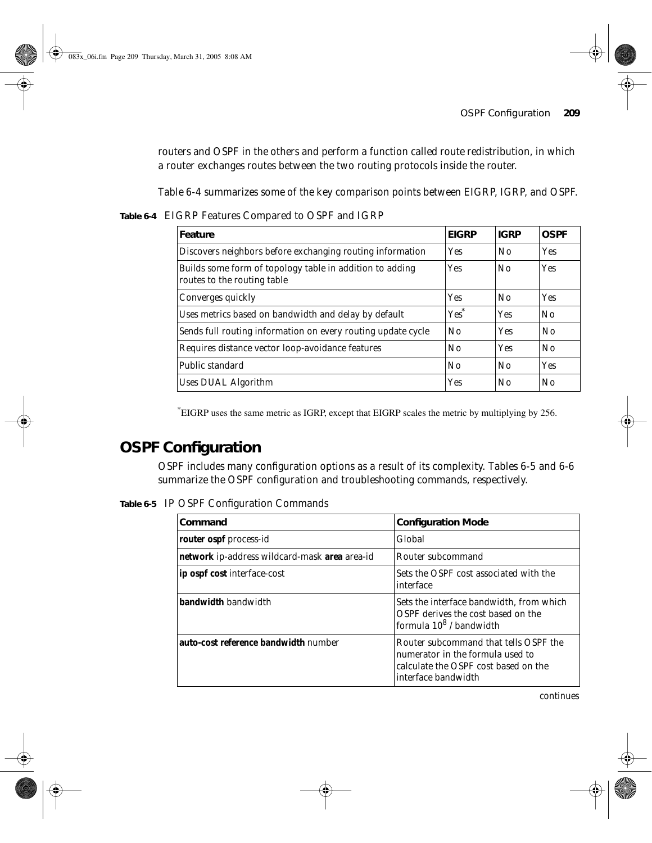routers and OSPF in the others and perform a function called *route redistribution,* in which a router exchanges routes between the two routing protocols inside the router.

Table 6-4 summarizes some of the key comparison points between EIGRP, IGRP, and OSPF.

**Table 6-4** *EIGRP Features Compared to OSPF and IGRP*

| Feature                                                                                 | <b>EIGRP</b>   | <b>IGRP</b>    | <b>OSPF</b>    |
|-----------------------------------------------------------------------------------------|----------------|----------------|----------------|
| Discovers neighbors before exchanging routing information                               | <b>Yes</b>     | N <sub>0</sub> | <b>Yes</b>     |
| Builds some form of topology table in addition to adding<br>routes to the routing table | <b>Yes</b>     | No             | <b>Yes</b>     |
| Converges quickly                                                                       | <b>Yes</b>     | No             | <b>Yes</b>     |
| Uses metrics based on bandwidth and delay by default                                    | $Yes^*$        | Yes            | No             |
| Sends full routing information on every routing update cycle                            | N <sub>0</sub> | <b>Yes</b>     | N <sub>0</sub> |
| Requires distance vector loop-avoidance features                                        | N <sub>0</sub> | Yes            | No             |
| Public standard                                                                         | No             | No             | Yes            |
| Uses DUAL Algorithm                                                                     | <b>Yes</b>     | N <sub>0</sub> | No             |

\* EIGRP uses the same metric as IGRP, except that EIGRP scales the metric by multiplying by 256.

## **OSPF Configuration**

OSPF includes many configuration options as a result of its complexity. Tables 6-5 and 6-6 summarize the OSPF configuration and troubleshooting commands, respectively.

**Table 6-5** *IP OSPF Configuration Commands* 

| Command                                              | <b>Configuration Mode</b>                                                                                                                |
|------------------------------------------------------|------------------------------------------------------------------------------------------------------------------------------------------|
| router ospf process-id                               | Global                                                                                                                                   |
| network <i>ip-address wildcard-mask</i> area area-id | Router subcommand                                                                                                                        |
| ip ospf cost interface-cost                          | Sets the OSPF cost associated with the<br>interface                                                                                      |
| <b>bandwidth</b> bandwidth                           | Sets the interface bandwidth, from which<br>OSPF derives the cost based on the<br>formula 10 <sup>8</sup> / bandwidth                    |
| auto-cost reference bandwidth number                 | Router subcommand that tells OSPF the<br>numerator in the formula used to<br>calculate the OSPF cost based on the<br>interface bandwidth |

*continues*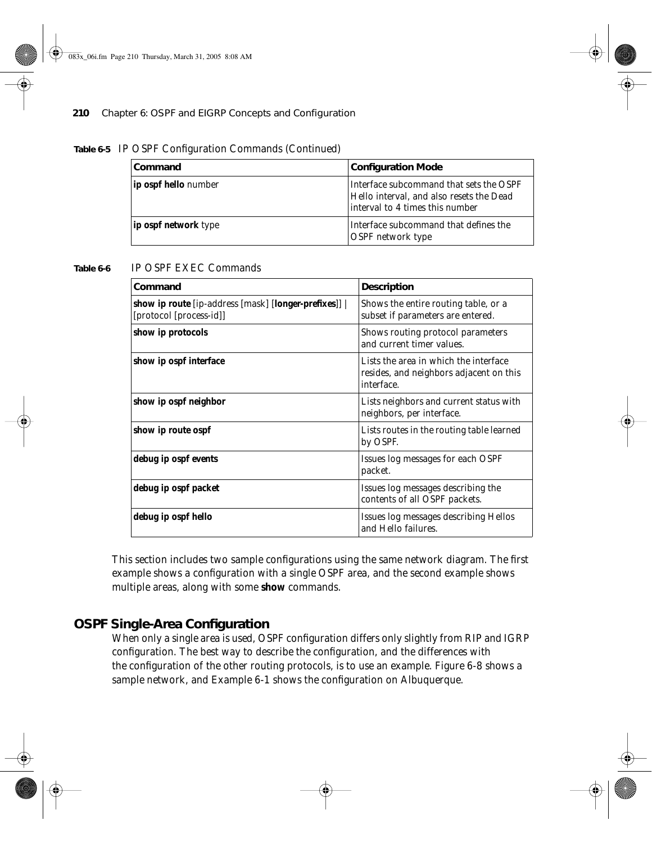**Table 6-5** *IP OSPF Configuration Commands (Continued)*

| Command                     | <b>Configuration Mode</b>                                                                                              |
|-----------------------------|------------------------------------------------------------------------------------------------------------------------|
| <b>ip ospf hello</b> number | Interface subcommand that sets the OSPF<br>Hello interval, and also resets the Dead<br>interval to 4 times this number |
| <b>ip ospf network</b> type | Interface subcommand that defines the<br>OSPF network type                                                             |

## **Table 6-6** *IP OSPF EXEC Commands*

| Command                                                                                            | <b>Description</b>                                                                             |
|----------------------------------------------------------------------------------------------------|------------------------------------------------------------------------------------------------|
| show ip route [ <i>ip-address</i> [ <i>mask</i> ] [longer-prefixes]] [<br>$[protocol [process-id]$ | Shows the entire routing table, or a<br>subset if parameters are entered.                      |
| show ip protocols                                                                                  | Shows routing protocol parameters<br>and current timer values.                                 |
| show ip ospf interface                                                                             | Lists the area in which the interface<br>resides, and neighbors adjacent on this<br>interface. |
| show ip ospf neighbor                                                                              | Lists neighbors and current status with<br>neighbors, per interface.                           |
| show ip route ospf                                                                                 | Lists routes in the routing table learned<br>by OSPF.                                          |
| debug ip ospf events                                                                               | Issues log messages for each OSPF<br>packet.                                                   |
| debug ip ospf packet                                                                               | Issues log messages describing the<br>contents of all OSPF packets.                            |
| debug ip ospf hello                                                                                | Issues log messages describing Hellos<br>and Hello failures.                                   |

This section includes two sample configurations using the same network diagram. The first example shows a configuration with a single OSPF area, and the second example shows multiple areas, along with some **show** commands.

## **OSPF Single-Area Configuration**

When only a single area is used, OSPF configuration differs only slightly from RIP and IGRP configuration. The best way to describe the configuration, and the differences with the configuration of the other routing protocols, is to use an example. Figure 6-8 shows a sample network, and Example 6-1 shows the configuration on Albuquerque.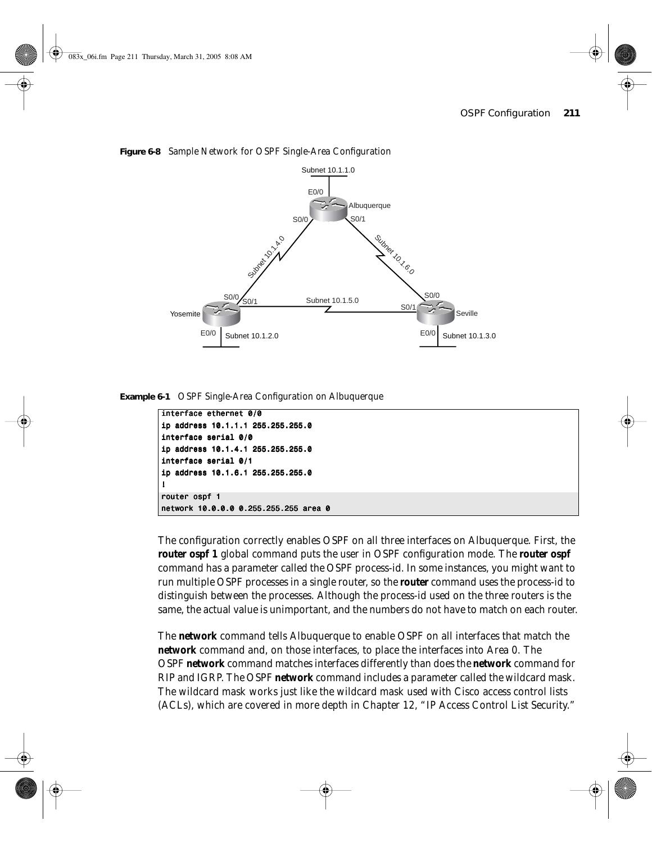

#### **Figure 6-8** *Sample Network for OSPF Single-Area Configuration*

**Example 6-1** *OSPF Single-Area Configuration on Albuquerque*

```
interface ethernet 0/0
ip address 10.1.1.1 255.255.255.0
interface serial 0/0
ip address 10.1.4.1 255.255.255.0
interface serial 0/1
ip address 10.1.6.1 255.255.255.0
!
router ospf 1
network 10.0.0.0 0.255.255.255 area 0
```
The configuration correctly enables OSPF on all three interfaces on Albuquerque. First, the **router ospf 1** global command puts the user in OSPF configuration mode. The **router ospf** command has a parameter called the OSPF *process-id*. In some instances, you might want to run multiple OSPF processes in a single router, so the **router** command uses the *process-id* to distinguish between the processes. Although the *process-id* used on the three routers is the same, the actual value is unimportant, and the numbers do not have to match on each router.

The **network** command tells Albuquerque to enable OSPF on all interfaces that match the **network** command and, on those interfaces, to place the interfaces into Area 0. The OSPF **network** command matches interfaces differently than does the **network** command for RIP and IGRP. The OSPF **network** command includes a parameter called the *wildcard mask*. The wildcard mask works just like the wildcard mask used with Cisco access control lists (ACLs), which are covered in more depth in Chapter 12, "IP Access Control List Security."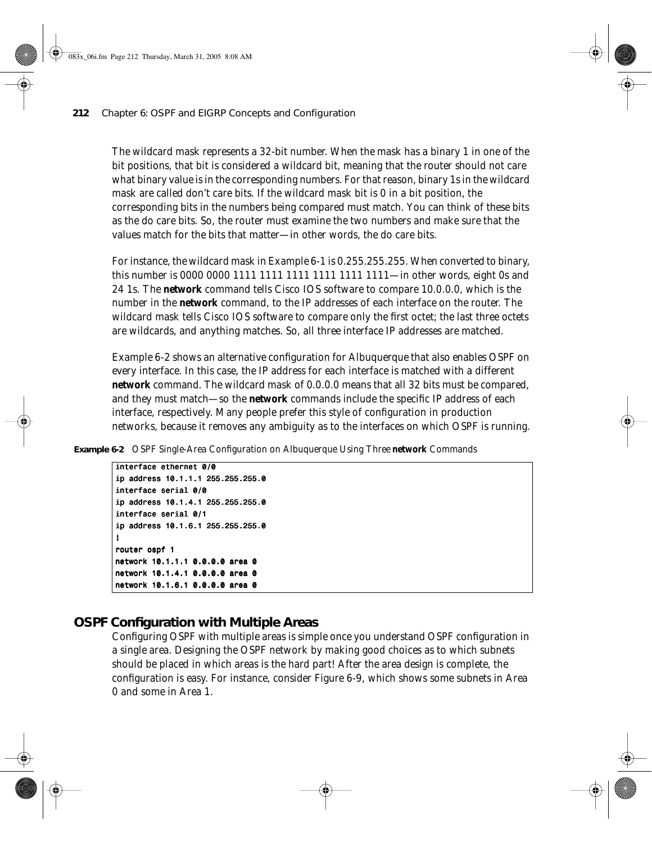The wildcard mask represents a 32-bit number. When the mask has a binary 1 in one of the bit positions, that bit is considered a wildcard bit, meaning that the router should not care what binary value is in the corresponding numbers. For that reason, binary 1s in the wildcard mask are called *don't care bits*. If the wildcard mask bit is 0 in a bit position, the corresponding bits in the numbers being compared must match. You can think of these bits as the *do care bits*. So, the router must examine the two numbers and make sure that the values match for the bits that matter—in other words, the do care bits.

For instance, the wildcard mask in Example 6-1 is 0.255.255.255. When converted to binary, this number is 0000 0000 1111 1111 1111 1111 1111 1111—in other words, eight 0s and 24 1s. The **network** command tells Cisco IOS software to compare 10.0.0.0, which is the number in the **network** command, to the IP addresses of each interface on the router. The wildcard mask tells Cisco IOS software to compare only the first octet; the last three octets are wildcards, and anything matches. So, all three interface IP addresses are matched.

Example 6-2 shows an alternative configuration for Albuquerque that also enables OSPF on every interface. In this case, the IP address for each interface is matched with a different **network** command. The wildcard mask of 0.0.0.0 means that all 32 bits must be compared, and they must match—so the **network** commands include the specific IP address of each interface, respectively. Many people prefer this style of configuration in production networks, because it removes any ambiguity as to the interfaces on which OSPF is running.

**Example 6-2** *OSPF Single-Area Configuration on Albuquerque Using Three* **network** *Commands*

```
interface ethernet 0/0
ip address 10.1.1.1 255.255.255.0
interface serial 0/0
ip address 10.1.4.1 255.255.255.0
interface serial 0/1
ip address 10.1.6.1 255.255.255.0
!
router ospf 1
network 10.1.1.1 0.0.0.0 area 0
network 10.1.4.1 0.0.0.0 area 0
network 10.1.6.1 0.0.0.0 area 0
```
## **OSPF Configuration with Multiple Areas**

Configuring OSPF with multiple areas is simple once you understand OSPF configuration in a single area. Designing the OSPF network by making good choices as to which subnets should be placed in which areas is the hard part! After the area design is complete, the configuration is easy. For instance, consider Figure 6-9, which shows some subnets in Area 0 and some in Area 1.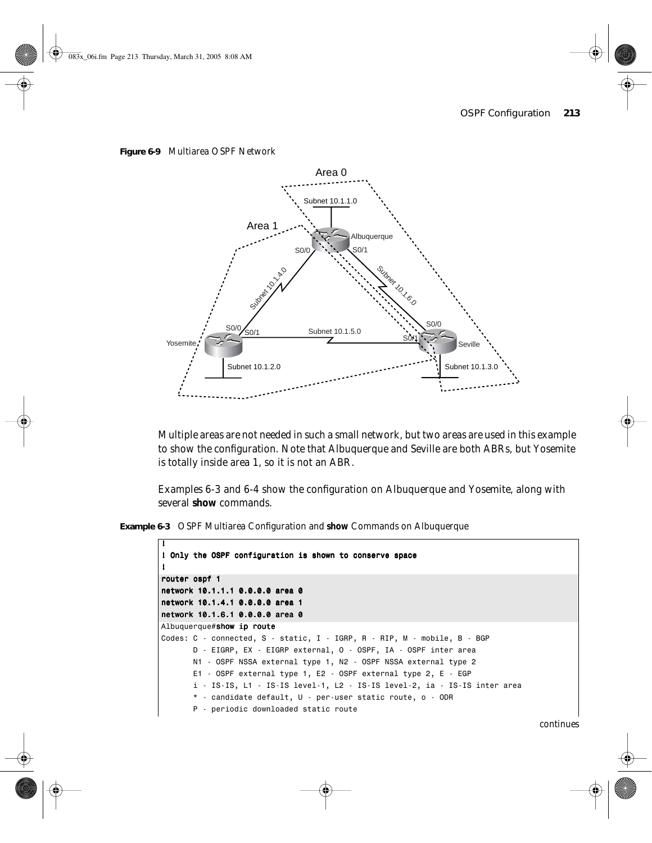**Figure 6-9** *Multiarea OSPF Network*



Multiple areas are not needed in such a small network, but two areas are used in this example to show the configuration. Note that Albuquerque and Seville are both ABRs, but Yosemite is totally inside area 1, so it is not an ABR.

Examples 6-3 and 6-4 show the configuration on Albuquerque and Yosemite, along with several **show** commands.

**Example 6-3** *OSPF Multiarea Configuration and* **show** *Commands on Albuquerque* 

```
!
! Only the OSPF configuration is shown to conserve space
!
router ospf 1
network 10.1.1.1 0.0.0.0 area 0
network 10.1.4.1 0.0.0.0 area 1
network 10.1.6.1 0.0.0.0 area 0
Albuquerque#show ip route
Codes: C - connected, S - static, I - IGRP, R - RIP, M - mobile, B - BGP
       D - EIGRP, EX - EIGRP external, O - OSPF, IA - OSPF inter area
       N1 - OSPF NSSA external type 1, N2 - OSPF NSSA external type 2
       E1 - OSPF external type 1, E2 - OSPF external type 2, E - EGP
        i - IS-IS, L1 - IS-IS level-1, L2 - IS-IS level-2, ia - IS-IS inter area
        * - candidate default, U - per-user static route, o - ODR
        P - periodic downloaded static route
```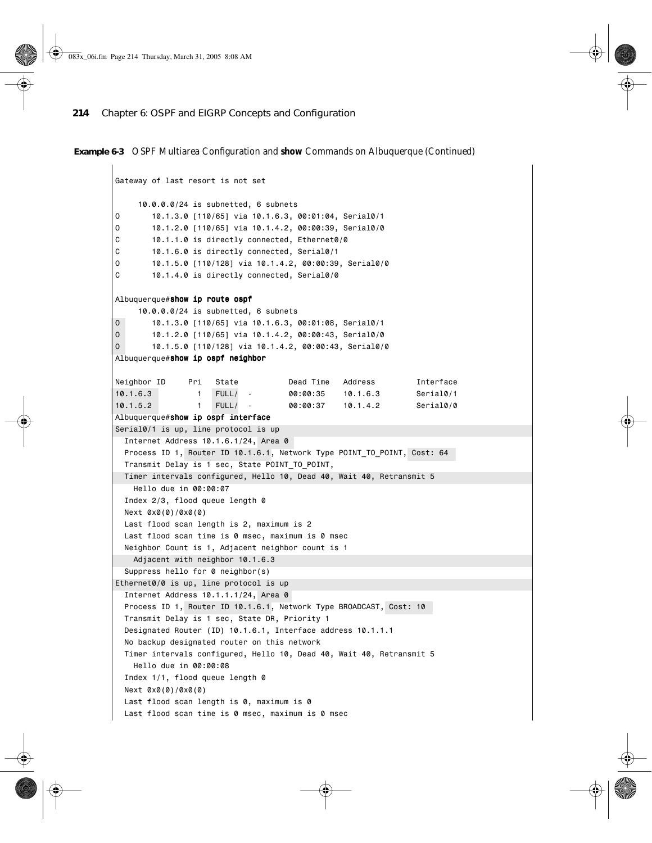**Example 6-3** *OSPF Multiarea Configuration and* **show** *Commands on Albuquerque (Continued)*

```
Gateway of last resort is not set
     10.0.0.0/24 is subnetted, 6 subnets
O 10.1.3.0 [110/65] via 10.1.6.3, 00:01:04, Serial0/1
O 10.1.2.0 [110/65] via 10.1.4.2, 00:00:39, Serial0/0
C 10.1.1.0 is directly connected, Ethernet0/0
C 10.1.6.0 is directly connected, Serial0/1
O 10.1.5.0 [110/128] via 10.1.4.2, 00:00:39, Serial0/0
C 10.1.4.0 is directly connected, Serial0/0
Albuquerque#show ip route ospf
     10.0.0.0/24 is subnetted, 6 subnets
O 10.1.3.0 [110/65] via 10.1.6.3, 00:01:08, Serial0/1
O 10.1.2.0 [110/65] via 10.1.4.2, 00:00:43, Serial0/0
O 10.1.5.0 [110/128] via 10.1.4.2, 00:00:43, Serial0/0
Albuquerque#show ip ospf neighbor
Neighbor ID Pri State Dead Time Address Interface
10.1.6.3 1 FULL/ - 00:00:35 10.1.6.3 Serial0/1
10.1.5.2 1 FULL/ - 00:00:37 10.1.4.2 Serial0/0
Albuquerque#show ip ospf interface
Serial0/1 is up, line protocol is up
  Internet Address 10.1.6.1/24, Area 0
 Process ID 1, Router ID 10.1.6.1, Network Type POINT TO POINT, Cost: 64
  Transmit Delay is 1 sec, State POINT_TO_POINT,
  Timer intervals configured, Hello 10, Dead 40, Wait 40, Retransmit 5
   Hello due in 00:00:07
  Index 2/3, flood queue length 0
  Next 0x0(0)/0x0(0)
  Last flood scan length is 2, maximum is 2
 Last flood scan time is 0 msec, maximum is 0 msec
  Neighbor Count is 1, Adjacent neighbor count is 1
    Adjacent with neighbor 10.1.6.3
  Suppress hello for 0 neighbor(s)
Ethernet0/0 is up, line protocol is up
  Internet Address 10.1.1.1/24, Area 0
  Process ID 1, Router ID 10.1.6.1, Network Type BROADCAST, Cost: 10
  Transmit Delay is 1 sec, State DR, Priority 1
  Designated Router (ID) 10.1.6.1, Interface address 10.1.1.1
  No backup designated router on this network
  Timer intervals configured, Hello 10, Dead 40, Wait 40, Retransmit 5
   Hello due in 00:00:08
  Index 1/1, flood queue length 0
  Next 0x0(0)/0x0(0)
 Last flood scan length is 0, maximum is 0
 Last flood scan time is 0 msec, maximum is 0 msec
```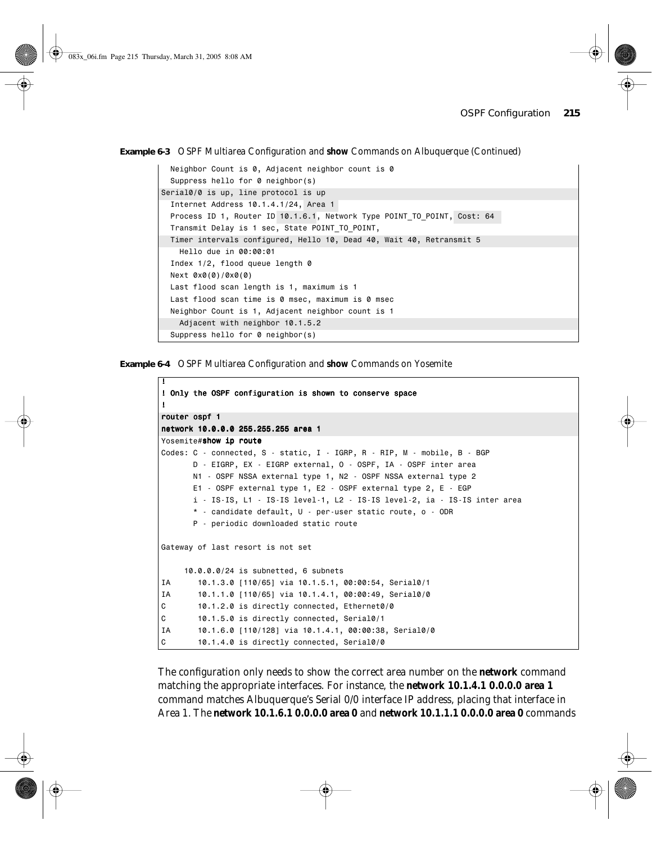```
Example 6-3 OSPF Multiarea Configuration and show Commands on Albuquerque (Continued)
```
 Neighbor Count is 0, Adjacent neighbor count is 0 Suppress hello for 0 neighbor(s) Serial0/0 is up, line protocol is up Internet Address 10.1.4.1/24, Area 1 Process ID 1, Router ID 10.1.6.1, Network Type POINT TO POINT, Cost: 64 Transmit Delay is 1 sec, State POINT\_TO\_POINT, Timer intervals configured, Hello 10, Dead 40, Wait 40, Retransmit 5 Hello due in 00:00:01 Index 1/2, flood queue length 0 Next 0x0(0)/0x0(0) Last flood scan length is 1, maximum is 1 Last flood scan time is 0 msec, maximum is 0 msec Neighbor Count is 1, Adjacent neighbor count is 1 Adjacent with neighbor 10.1.5.2 Suppress hello for 0 neighbor(s)

**Example 6-4** *OSPF Multiarea Configuration and* **show** *Commands on Yosemite*

```
!
! Only the OSPF configuration is shown to conserve space
!
router ospf 1
network 10.0.0.0 255.255.255 area 1
Yosemite#show ip route
Codes: C - connected, S - static, I - IGRP, R - RIP, M - mobile, B - BGP
       D - EIGRP, EX - EIGRP external, O - OSPF, IA - OSPF inter area
       N1 - OSPF NSSA external type 1, N2 - OSPF NSSA external type 2
       E1 - OSPF external type 1, E2 - OSPF external type 2, E - EGP
        i - IS-IS, L1 - IS-IS level-1, L2 - IS-IS level-2, ia - IS-IS inter area
        * - candidate default, U - per-user static route, o - ODR
       P - periodic downloaded static route
Gateway of last resort is not set
     10.0.0.0/24 is subnetted, 6 subnets
IA 10.1.3.0 [110/65] via 10.1.5.1, 00:00:54, Serial0/1
IA 10.1.1.0 [110/65] via 10.1.4.1, 00:00:49, Serial0/0
C 10.1.2.0 is directly connected, Ethernet0/0
C 10.1.5.0 is directly connected, Serial0/1
IA 10.1.6.0 [110/128] via 10.1.4.1, 00:00:38, Serial0/0
C 10.1.4.0 is directly connected, Serial0/0
```
The configuration only needs to show the correct area number on the **network** command matching the appropriate interfaces. For instance, the **network 10.1.4.1 0.0.0.0 area 1** command matches Albuquerque's Serial 0/0 interface IP address, placing that interface in Area 1. The **network 10.1.6.1 0.0.0.0 area 0** and **network 10.1.1.1 0.0.0.0 area 0** commands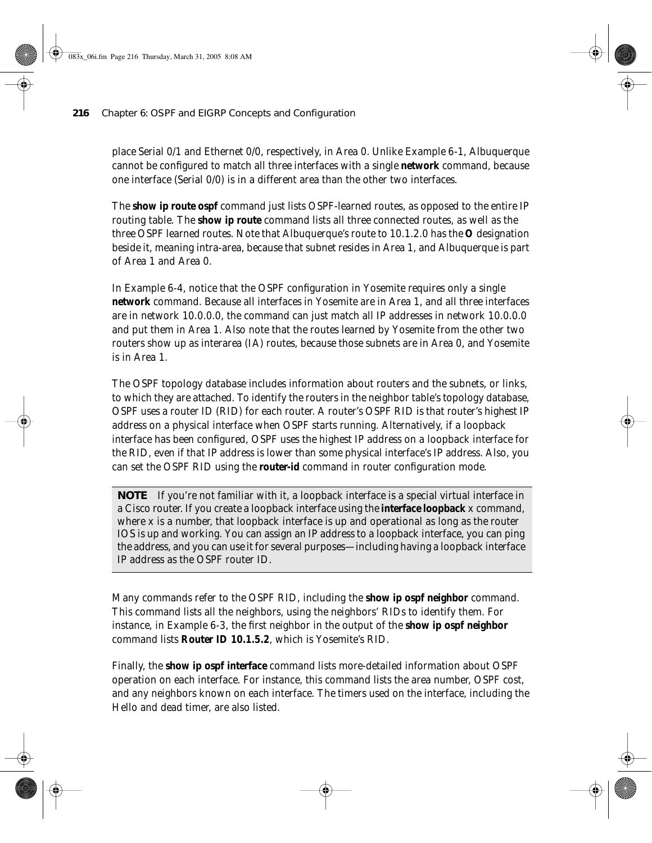place Serial 0/1 and Ethernet 0/0, respectively, in Area 0. Unlike Example 6-1, Albuquerque cannot be configured to match all three interfaces with a single **network** command, because one interface (Serial 0/0) is in a different area than the other two interfaces.

The **show ip route ospf** command just lists OSPF-learned routes, as opposed to the entire IP routing table. The **show ip route** command lists all three connected routes, as well as the three OSPF learned routes. Note that Albuquerque's route to 10.1.2.0 has the **O** designation beside it, meaning *intra-area,* because that subnet resides in Area 1, and Albuquerque is part of Area 1 and Area 0.

In Example 6-4, notice that the OSPF configuration in Yosemite requires only a single **network** command. Because all interfaces in Yosemite are in Area 1, and all three interfaces are in network 10.0.0.0, the command can just match all IP addresses in network 10.0.0.0 and put them in Area 1. Also note that the routes learned by Yosemite from the other two routers show up as *interarea (IA) routes*, because those subnets are in Area 0, and Yosemite is in Area 1.

The OSPF topology database includes information about routers and the subnets, or links, to which they are attached. To identify the routers in the neighbor table's topology database, OSPF uses a router ID (RID) for each router. A router's OSPF RID is that router's highest IP address on a physical interface when OSPF starts running. Alternatively, if a loopback interface has been configured, OSPF uses the highest IP address on a loopback interface for the RID, even if that IP address is lower than some physical interface's IP address. Also, you can set the OSPF RID using the **router-id** command in router configuration mode.

**NOTE** If you're not familiar with it, a loopback interface is a special virtual interface in a Cisco router. If you create a loopback interface using the **interface loopback** *x* command, where *x* is a number, that loopback interface is up and operational as long as the router IOS is up and working. You can assign an IP address to a loopback interface, you can ping the address, and you can use it for several purposes—including having a loopback interface IP address as the OSPF router ID.

Many commands refer to the OSPF RID, including the **show ip ospf neighbor** command. This command lists all the neighbors, using the neighbors' RIDs to identify them. For instance, in Example 6-3, the first neighbor in the output of the **show ip ospf neighbor** command lists **Router ID 10.1.5.2**, which is Yosemite's RID.

Finally, the **show ip ospf interface** command lists more-detailed information about OSPF operation on each interface. For instance, this command lists the area number, OSPF cost, and any neighbors known on each interface. The timers used on the interface, including the Hello and dead timer, are also listed.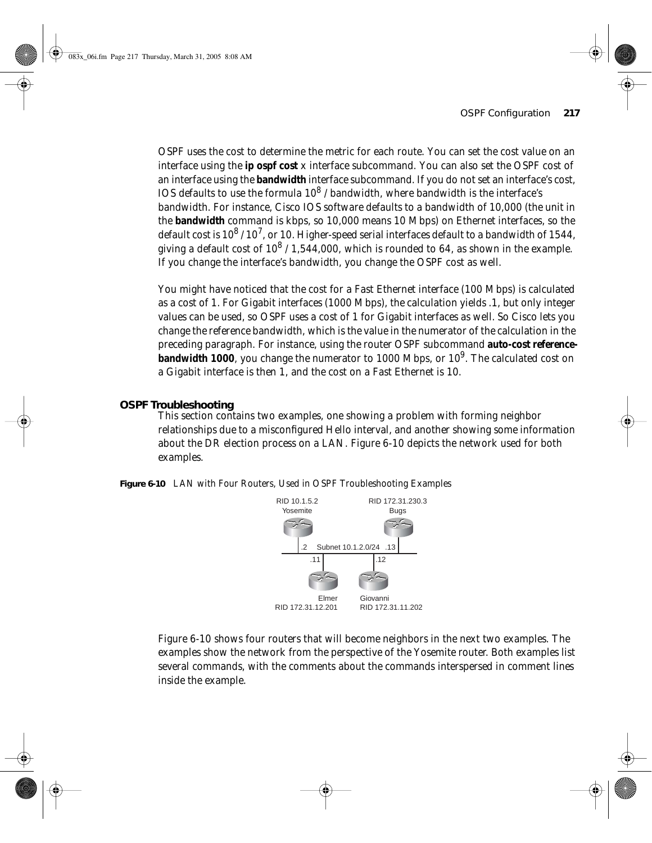OSPF uses the cost to determine the metric for each route. You can set the cost value on an interface using the **ip ospf cost** *x* interface subcommand. You can also set the OSPF cost of an interface using the **bandwidth** interface subcommand. If you do not set an interface's cost, IOS defaults to use the formula 108 / *bandwidth,* where *bandwidth* is the interface's bandwidth. For instance, Cisco IOS software defaults to a bandwidth of 10,000 (the unit in the **bandwidth** command is kbps, so 10,000 means 10 Mbps) on Ethernet interfaces, so the default cost is  $10^8/10^7$ , or 10. Higher-speed serial interfaces default to a bandwidth of 1544, giving a default cost of  $10^8/1,544,000$ , which is rounded to 64, as shown in the example. If you change the interface's bandwidth, you change the OSPF cost as well.

You might have noticed that the cost for a Fast Ethernet interface (100 Mbps) is calculated as a cost of 1. For Gigabit interfaces (1000 Mbps), the calculation yields .1, but only integer values can be used, so OSPF uses a cost of 1 for Gigabit interfaces as well. So Cisco lets you change the *reference bandwidth,* which is the value in the numerator of the calculation in the preceding paragraph. For instance, using the router OSPF subcommand **auto-cost referencebandwidth 1000**, you change the numerator to 1000 Mbps, or  $10<sup>9</sup>$ . The calculated cost on a Gigabit interface is then 1, and the cost on a Fast Ethernet is 10.

## **OSPF Troubleshooting**

This section contains two examples, one showing a problem with forming neighbor relationships due to a misconfigured Hello interval, and another showing some information about the DR election process on a LAN. Figure 6-10 depicts the network used for both examples.





Figure 6-10 shows four routers that will become neighbors in the next two examples. The examples show the network from the perspective of the Yosemite router. Both examples list several commands, with the comments about the commands interspersed in comment lines inside the example.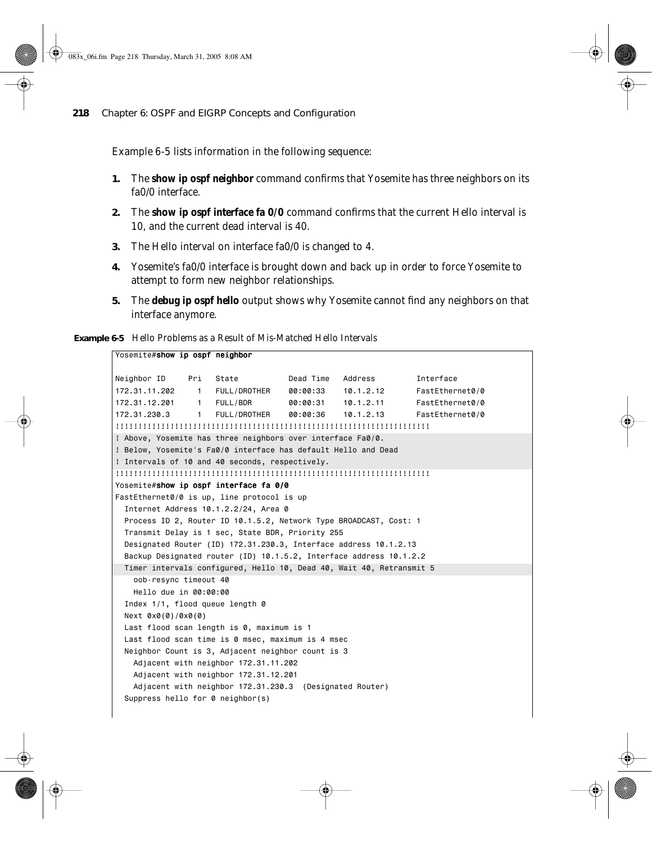Example 6-5 lists information in the following sequence:

- **1.** The **show ip ospf neighbor** command confirms that Yosemite has three neighbors on its fa0/0 interface.
- **2.** The **show ip ospf interface fa 0/0** command confirms that the current Hello interval is 10, and the current dead interval is 40.
- **3.** The Hello interval on interface fa0/0 is changed to 4.
- **4.** Yosemite's fa0/0 interface is brought down and back up in order to force Yosemite to attempt to form new neighbor relationships.
- **5.** The **debug ip ospf hello** output shows why Yosemite cannot find any neighbors on that interface anymore.

**Example 6-5** *Hello Problems as a Result of Mis-Matched Hello Intervals* 

```
Yosemite#show ip ospf neighbor
Neighbor ID Pri State Dead Time Address Interface
172.31.11.202 1 FULL/DROTHER 00:00:33 10.1.2.12 FastEthernet0/0
172.31.12.201 1 FULL/BDR 00:00:31 10.1.2.11 FastEthernet0/0
172.31.230.3 1 FULL/DROTHER 00:00:36 10.1.2.13 FastEthernet0/0
!!!!!!!!!!!!!!!!!!!!!!!!!!!!!!!!!!!!!!!!!!!!!!!!!!!!!!!!!!!!!!!!!!!!!
! Above, Yosemite has three neighbors over interface Fa0/0.
! Below, Yosemite's Fa0/0 interface has default Hello and Dead 
! Intervals of 10 and 40 seconds, respectively. 
!!!!!!!!!!!!!!!!!!!!!!!!!!!!!!!!!!!!!!!!!!!!!!!!!!!!!!!!!!!!!!!!!!!!!
Yosemite#show ip ospf interface fa 0/0
FastEthernet0/0 is up, line protocol is up 
  Internet Address 10.1.2.2/24, Area 0 
  Process ID 2, Router ID 10.1.5.2, Network Type BROADCAST, Cost: 1
  Transmit Delay is 1 sec, State BDR, Priority 255 
  Designated Router (ID) 172.31.230.3, Interface address 10.1.2.13
  Backup Designated router (ID) 10.1.5.2, Interface address 10.1.2.2
  Timer intervals configured, Hello 10, Dead 40, Wait 40, Retransmit 5
    oob-resync timeout 40
    Hello due in 00:00:00
  Index 1/1, flood queue length 0
   Next 0x0(0)/0x0(0)
  Last flood scan length is 0, maximum is 1
  Last flood scan time is 0 msec, maximum is 4 msec
  Neighbor Count is 3, Adjacent neighbor count is 3 
    Adjacent with neighbor 172.31.11.202
    Adjacent with neighbor 172.31.12.201
    Adjacent with neighbor 172.31.230.3 (Designated Router)
  Suppress hello for 0 neighbor(s)
```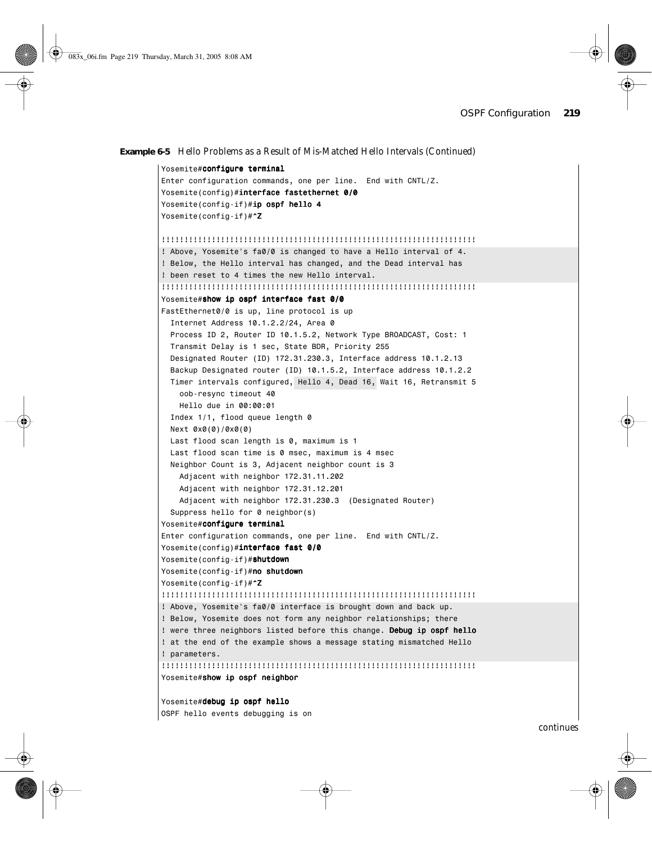**Example 6-5** *Hello Problems as a Result of Mis-Matched Hello Intervals (Continued)*

```
Yosemite#configure terminal
Enter configuration commands, one per line. End with CNTL/Z.
Yosemite(config)#interface fastethernet 0/0
Yosemite(config-if)#ip ospf hello 4
Yosemite(config-if)#^Z
!!!!!!!!!!!!!!!!!!!!!!!!!!!!!!!!!!!!!!!!!!!!!!!!!!!!!!!!!!!!!!!!!!!!!
! Above, Yosemite's fa0/0 is changed to have a Hello interval of 4.
! Below, the Hello interval has changed, and the Dead interval has 
! been reset to 4 times the new Hello interval. 
!!!!!!!!!!!!!!!!!!!!!!!!!!!!!!!!!!!!!!!!!!!!!!!!!!!!!!!!!!!!!!!!!!!!!
Yosemite#show ip ospf interface fast 0/0
FastEthernet0/0 is up, line protocol is up 
  Internet Address 10.1.2.2/24, Area 0 
  Process ID 2, Router ID 10.1.5.2, Network Type BROADCAST, Cost: 1
  Transmit Delay is 1 sec, State BDR, Priority 255 
  Designated Router (ID) 172.31.230.3, Interface address 10.1.2.13
  Backup Designated router (ID) 10.1.5.2, Interface address 10.1.2.2
  Timer intervals configured, Hello 4, Dead 16, Wait 16, Retransmit 5
    oob-resync timeout 40
    Hello due in 00:00:01
  Index 1/1, flood queue length 0
  Next 0x0(0)/0x0(0)
  Last flood scan length is 0, maximum is 1
  Last flood scan time is 0 msec, maximum is 4 msec
  Neighbor Count is 3, Adjacent neighbor count is 3 
    Adjacent with neighbor 172.31.11.202
    Adjacent with neighbor 172.31.12.201
    Adjacent with neighbor 172.31.230.3 (Designated Router)
   Suppress hello for 0 neighbor(s)
Yosemite#configure terminal
Enter configuration commands, one per line. End with CNTL/Z.
Yosemite(config)#interface fast 0/0
Yosemite(config-if)#shutdown
Yosemite(config-if)#no shutdown
Yosemite(config-if)#^Z
!!!!!!!!!!!!!!!!!!!!!!!!!!!!!!!!!!!!!!!!!!!!!!!!!!!!!!!!!!!!!!!!!!!!!
! Above, Yosemite's fa0/0 interface is brought down and back up.
! Below, Yosemite does not form any neighbor relationships; there 
! were three neighbors listed before this change. Debug ip ospf hello
! at the end of the example shows a message stating mismatched Hello
! parameters.
!!!!!!!!!!!!!!!!!!!!!!!!!!!!!!!!!!!!!!!!!!!!!!!!!!!!!!!!!!!!!!!!!!!!!
Yosemite#show ip ospf neighbor
Yosemite#debug ip ospf hello
OSPF hello events debugging is on
```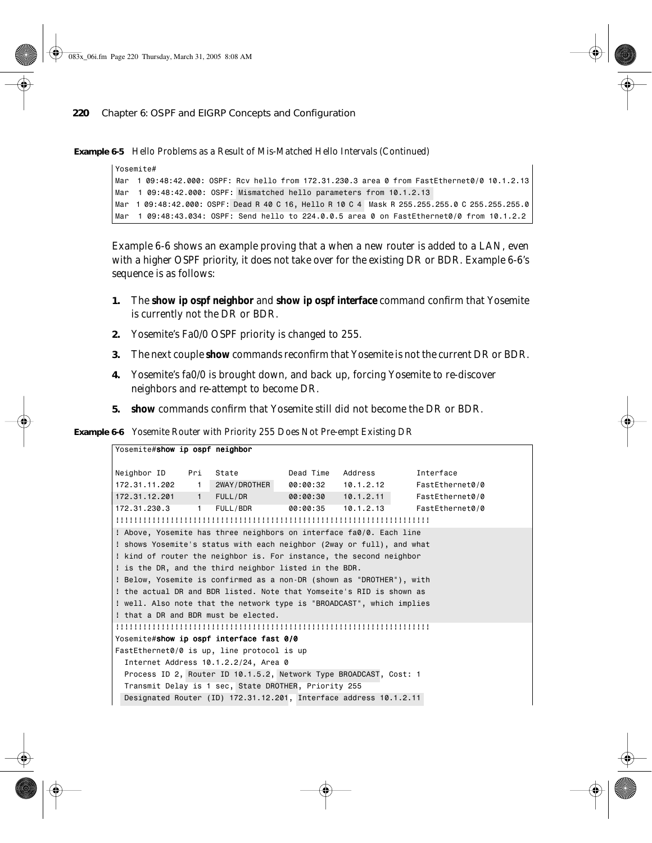**Example 6-5** *Hello Problems as a Result of Mis-Matched Hello Intervals (Continued)*

```
Yosemite#
Mar 1 09:48:42.000: OSPF: Rcv hello from 172.31.230.3 area 0 from FastEthernet0/0 10.1.2.13
Mar 1 09:48:42.000: OSPF: Mismatched hello parameters from 10.1.2.13
Mar 1 09:48:42.000: OSPF: Dead R 40 C 16, Hello R 10 C 4 Mask R 255.255.255.0 C 255.255.255.0
Mar 1 09:48:43.034: OSPF: Send hello to 224.0.0.5 area 0 on FastEthernet0/0 from 10.1.2.2
```
Example 6-6 shows an example proving that a when a new router is added to a LAN, even with a higher OSPF priority, it does not take over for the existing DR or BDR. Example 6-6's sequence is as follows:

- **1.** The **show ip ospf neighbor** and **show ip ospf interface** command confirm that Yosemite is currently not the DR or BDR.
- **2.** Yosemite's Fa0/0 OSPF priority is changed to 255.
- **3.** The next couple **show** commands reconfirm that Yosemite is not the current DR or BDR.
- **4.** Yosemite's fa0/0 is brought down, and back up, forcing Yosemite to re-discover neighbors and re-attempt to become DR.
- **5. show** commands confirm that Yosemite still did not become the DR or BDR.

**Example 6-6** *Yosemite Router with Priority 255 Does Not Pre-empt Existing DR* 

| Yosemite#show ip ospf neighbor                                        |  |                                                                       |           |                    |                                                                   |
|-----------------------------------------------------------------------|--|-----------------------------------------------------------------------|-----------|--------------------|-------------------------------------------------------------------|
|                                                                       |  |                                                                       |           |                    |                                                                   |
| Neighbor ID Pri                                                       |  | State                                                                 | Dead Time |                    | Address       Interface                                           |
| 172.31.11.202 1                                                       |  | 2WAY/DROTHER                                                          |           | 00:00:32 10.1.2.12 | FastEthernet0/0                                                   |
|                                                                       |  |                                                                       |           |                    | 172.31.12.201  1  FULL/DR   00:00:30  10.1.2.11   FastEthernet0/0 |
|                                                                       |  |                                                                       |           |                    |                                                                   |
|                                                                       |  |                                                                       |           |                    |                                                                   |
|                                                                       |  | ! Above, Yosemite has three neighbors on interface fa0/0. Each line   |           |                    |                                                                   |
|                                                                       |  | ! shows Yosemite's status with each neighbor (2way or full), and what |           |                    |                                                                   |
|                                                                       |  | ! kind of router the neighbor is. For instance, the second neighbor   |           |                    |                                                                   |
|                                                                       |  | ! is the DR, and the third neighbor listed in the BDR.                |           |                    |                                                                   |
|                                                                       |  | ! Below, Yosemite is confirmed as a non-DR (shown as "DROTHER"), with |           |                    |                                                                   |
| ! the actual DR and BDR listed. Note that Yomseite's RID is shown as  |  |                                                                       |           |                    |                                                                   |
| ! well. Also note that the network type is "BROADCAST", which implies |  |                                                                       |           |                    |                                                                   |
| ! that a DR and BDR must be elected.                                  |  |                                                                       |           |                    |                                                                   |
|                                                                       |  |                                                                       |           |                    |                                                                   |
| Yosemite#show ip ospf interface fast 0/0                              |  |                                                                       |           |                    |                                                                   |
| FastEthernet0/0 is up, line protocol is up                            |  |                                                                       |           |                    |                                                                   |
| Internet Address 10.1.2.2/24, Area 0                                  |  |                                                                       |           |                    |                                                                   |
| Process ID 2, Router ID 10.1.5.2, Network Type BROADCAST, Cost: 1     |  |                                                                       |           |                    |                                                                   |
| Transmit Delay is 1 sec, State DROTHER, Priority 255                  |  |                                                                       |           |                    |                                                                   |
|                                                                       |  | Designated Router (ID) 172.31.12.201, Interface address 10.1.2.11     |           |                    |                                                                   |
|                                                                       |  |                                                                       |           |                    |                                                                   |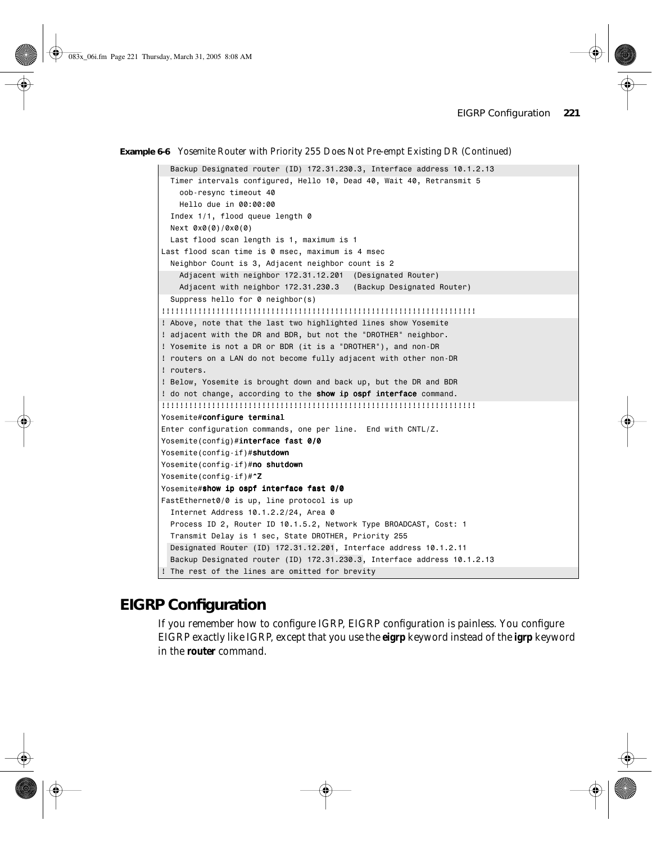```
Example 6-6 Yosemite Router with Priority 255 Does Not Pre-empt Existing DR (Continued)
```

```
 Backup Designated router (ID) 172.31.230.3, Interface address 10.1.2.13
  Timer intervals configured, Hello 10, Dead 40, Wait 40, Retransmit 5
    oob-resync timeout 40
    Hello due in 00:00:00
  Index 1/1, flood queue length 0
  Next 0x0(0)/0x0(0)
  Last flood scan length is 1, maximum is 1
Last flood scan time is 0 msec, maximum is 4 msec
  Neighbor Count is 3, Adjacent neighbor count is 2 
    Adjacent with neighbor 172.31.12.201 (Designated Router)
    Adjacent with neighbor 172.31.230.3 (Backup Designated Router)
  Suppress hello for 0 neighbor(s)
!!!!!!!!!!!!!!!!!!!!!!!!!!!!!!!!!!!!!!!!!!!!!!!!!!!!!!!!!!!!!!!!!!!!!
! Above, note that the last two highlighted lines show Yosemite
! adjacent with the DR and BDR, but not the "DROTHER" neighbor.
! Yosemite is not a DR or BDR (it is a "DROTHER"), and non-DR
! routers on a LAN do not become fully adjacent with other non-DR
! routers.
! Below, Yosemite is brought down and back up, but the DR and BDR
! do not change, according to the show ip ospf interface command.
!!!!!!!!!!!!!!!!!!!!!!!!!!!!!!!!!!!!!!!!!!!!!!!!!!!!!!!!!!!!!!!!!!!!!
Yosemite#configure terminal
Enter configuration commands, one per line. End with CNTL/Z.
Yosemite(config)#interface fast 0/0
Yosemite(config-if)#shutdown
Yosemite(config-if)#no shutdown
Yosemite(config-if)#^Z
Yosemite#show ip ospf interface fast 0/0
FastEthernet0/0 is up, line protocol is up 
  Internet Address 10.1.2.2/24, Area 0 
  Process ID 2, Router ID 10.1.5.2, Network Type BROADCAST, Cost: 1
  Transmit Delay is 1 sec, State DROTHER, Priority 255 
  Designated Router (ID) 172.31.12.201, Interface address 10.1.2.11
  Backup Designated router (ID) 172.31.230.3, Interface address 10.1.2.13
! The rest of the lines are omitted for brevity
```
## **EIGRP Configuration**

If you remember how to configure IGRP, EIGRP configuration is painless. You configure EIGRP exactly like IGRP, except that you use the **eigrp** keyword instead of the **igrp** keyword in the **router** command.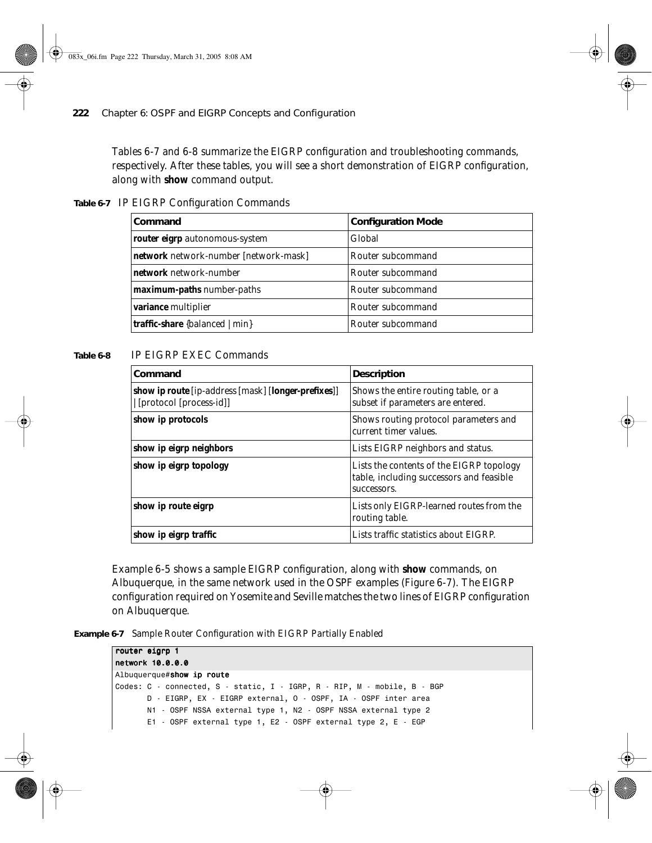Tables 6-7 and 6-8 summarize the EIGRP configuration and troubleshooting commands, respectively. After these tables, you will see a short demonstration of EIGRP configuration, along with **show** command output.

**Table 6-7** *IP EIGRP Configuration Commands*

| Command                                      | <b>Configuration Mode</b> |
|----------------------------------------------|---------------------------|
| router eigrp autonomous-system               | Global                    |
| <b>network</b> network-number [network-mask] | Router subcommand         |
| network network-number                       | Router subcommand         |
| maximum-paths number-paths                   | Router subcommand         |
| variance multiplier                          | Router subcommand         |
| traffic-share ${balanced \mid min}$          | Router subcommand         |

#### **Table 6-8** *IP EIGRP EXEC Commands*

| Command                                                                                                      | <b>Description</b>                                                                                  |
|--------------------------------------------------------------------------------------------------------------|-----------------------------------------------------------------------------------------------------|
| show ip route [ <i>ip-address</i> [ <i>mask</i> ] [ <b>longer-prefixes</b> ]]<br>$[ protocol   process-id] $ | Shows the entire routing table, or a<br>subset if parameters are entered.                           |
| show ip protocols                                                                                            | Shows routing protocol parameters and<br>current timer values.                                      |
| show ip eigrp neighbors                                                                                      | Lists EIGRP neighbors and status.                                                                   |
| show ip eigrp topology                                                                                       | Lists the contents of the EIGRP topology<br>table, including successors and feasible<br>successors. |
| show ip route eigrp                                                                                          | Lists only EIGRP-learned routes from the<br>routing table.                                          |
| show ip eigrp traffic                                                                                        | Lists traffic statistics about EIGRP.                                                               |

Example 6-5 shows a sample EIGRP configuration, along with **show** commands, on Albuquerque, in the same network used in the OSPF examples (Figure 6-7). The EIGRP configuration required on Yosemite and Seville matches the two lines of EIGRP configuration on Albuquerque.

**Example 6-7** *Sample Router Configuration with EIGRP Partially Enabled* 

```
router eigrp 1
network 10.0.0.0
Albuquerque#show ip route
Codes: C - connected, S - static, I - IGRP, R - RIP, M - mobile, B - BGP
        D - EIGRP, EX - EIGRP external, O - OSPF, IA - OSPF inter area
        N1 - OSPF NSSA external type 1, N2 - OSPF NSSA external type 2
        E1 - OSPF external type 1, E2 - OSPF external type 2, E - EGP
```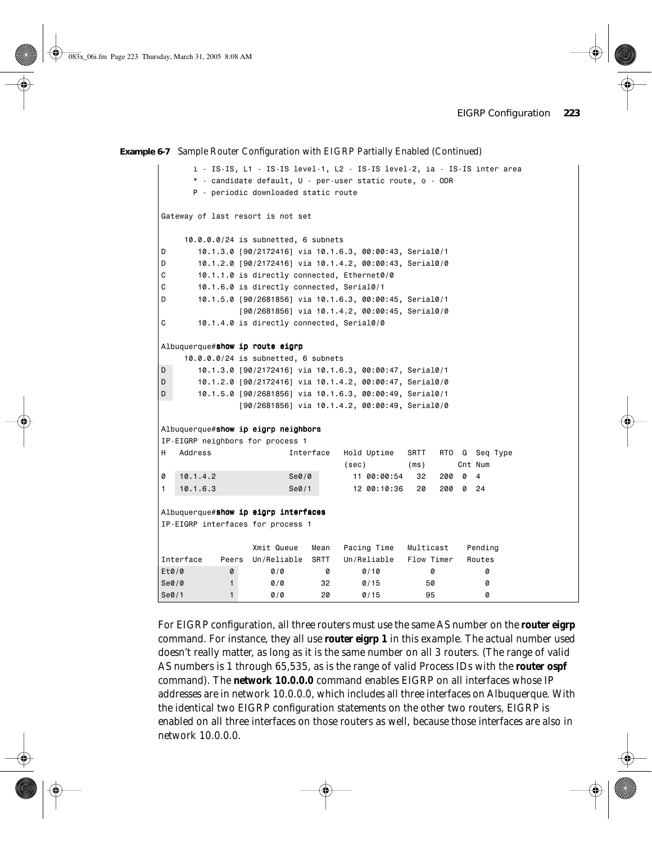```
 i - IS-IS, L1 - IS-IS level-1, L2 - IS-IS level-2, ia - IS-IS inter area
              * - candidate default, U - per-user static route, o - ODR
              P - periodic downloaded static route
       Gateway of last resort is not set
            10.0.0.0/24 is subnetted, 6 subnets
       D 10.1.3.0 [90/2172416] via 10.1.6.3, 00:00:43, Serial0/1
       D 10.1.2.0 [90/2172416] via 10.1.4.2, 00:00:43, Serial0/0
       C 10.1.1.0 is directly connected, Ethernet0/0
       C 10.1.6.0 is directly connected, Serial0/1
       D 10.1.5.0 [90/2681856] via 10.1.6.3, 00:00:45, Serial0/1
                      [90/2681856] via 10.1.4.2, 00:00:45, Serial0/0
       C 10.1.4.0 is directly connected, Serial0/0
       Albuquerque#show ip route eigrp
            10.0.0.0/24 is subnetted, 6 subnets
       D 10.1.3.0 [90/2172416] via 10.1.6.3, 00:00:47, Serial0/1
       D 10.1.2.0 [90/2172416] via 10.1.4.2, 00:00:47, Serial0/0
       D 10.1.5.0 [90/2681856] via 10.1.6.3, 00:00:49, Serial0/1
                      [90/2681856] via 10.1.4.2, 00:00:49, Serial0/0
       Albuquerque#show ip eigrp neighbors
       IP-EIGRP neighbors for process 1
       H Address Interface Hold Uptime SRTT RTO Q Seq Type
                                         (sec) (ms) Cnt Num
       0 10.1.4.2 Se0/0 11 00:00:54 32 200 0 4
       1 10.1.6.3 Se0/1 12 00:10:36 20 200 0 24
       Albuquerque#show ip eigrp interfaces
       IP-EIGRP interfaces for process 1
                        Xmit Queue Mean Pacing Time Multicast Pending
       Interface Peers Un/Reliable SRTT Un/Reliable Flow Timer Routes
       Et0/0 0 0/0 0 0/10 0 0
       Se0/0 1 0/0 32 0/15 50 0
       Se0/1 1 0/0 20 0/15 95 0
Example 6-7 Sample Router Configuration with EIGRP Partially Enabled (Continued)
```
For EIGRP configuration, all three routers must use the same AS number on the **router eigrp** command. For instance, they all use **router eigrp 1** in this example. The actual number used doesn't really matter, as long as it is the same number on all 3 routers. (The range of valid AS numbers is 1 through 65,535, as is the range of valid Process IDs with the **router ospf** command). The **network 10.0.0.0** command enables EIGRP on all interfaces whose IP addresses are in network 10.0.0.0, which includes all three interfaces on Albuquerque. With the identical two EIGRP configuration statements on the other two routers, EIGRP is enabled on all three interfaces on those routers as well, because those interfaces are also in network 10.0.0.0.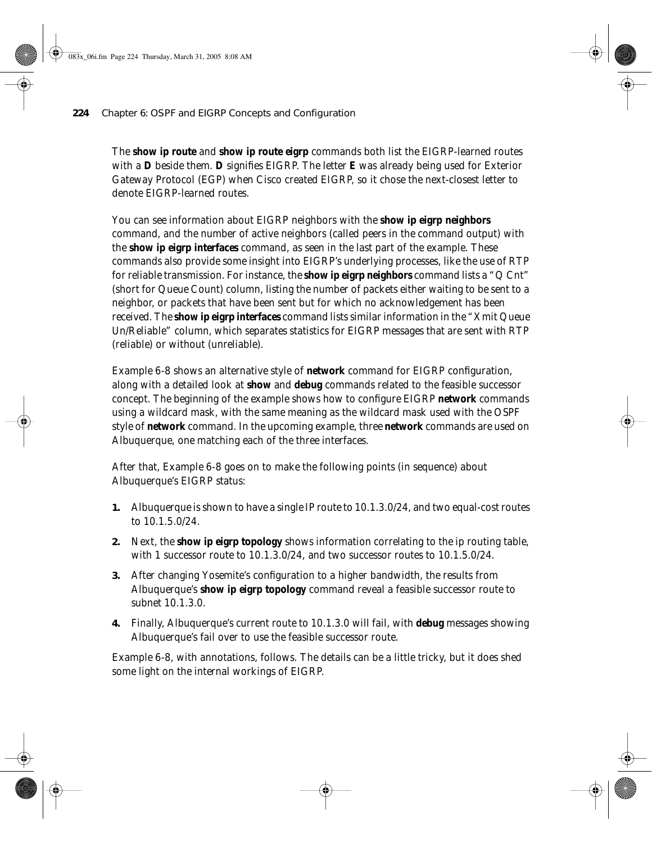The **show ip route** and **show ip route eigrp** commands both list the EIGRP-learned routes with a **D** beside them. **D** signifies EIGRP. The letter **E** was already being used for Exterior Gateway Protocol (EGP) when Cisco created EIGRP, so it chose the next-closest letter to denote EIGRP-learned routes.

You can see information about EIGRP neighbors with the **show ip eigrp neighbors**  command, and the number of active neighbors (called peers in the command output) with the **show ip eigrp interfaces** command, as seen in the last part of the example. These commands also provide some insight into EIGRP's underlying processes, like the use of RTP for reliable transmission. For instance, the **show ip eigrp neighbors** command lists a "Q Cnt" (short for Queue Count) column, listing the number of packets either waiting to be sent to a neighbor, or packets that have been sent but for which no acknowledgement has been received. The **show ip eigrp interfaces** command lists similar information in the "Xmit Queue Un/Reliable" column, which separates statistics for EIGRP messages that are sent with RTP (reliable) or without (unreliable).

Example 6-8 shows an alternative style of **network** command for EIGRP configuration, along with a detailed look at **show** and **debug** commands related to the feasible successor concept. The beginning of the example shows how to configure EIGRP **network** commands using a wildcard mask, with the same meaning as the wildcard mask used with the OSPF style of **network** command. In the upcoming example, three **network** commands are used on Albuquerque, one matching each of the three interfaces.

After that, Example 6-8 goes on to make the following points (in sequence) about Albuquerque's EIGRP status:

- **1.** Albuquerque is shown to have a single IP route to 10.1.3.0/24, and two equal-cost routes to 10.1.5.0/24.
- **2.** Next, the **show ip eigrp topology** shows information correlating to the ip routing table, with 1 successor route to  $10.1.3.0/24$ , and two successor routes to  $10.1.5.0/24$ .
- **3.** After changing Yosemite's configuration to a higher bandwidth, the results from Albuquerque's **show ip eigrp topology** command reveal a feasible successor route to subnet 10.1.3.0.
- **4.** Finally, Albuquerque's current route to 10.1.3.0 will fail, with **debug** messages showing Albuquerque's fail over to use the feasible successor route.

Example 6-8, with annotations, follows. The details can be a little tricky, but it does shed some light on the internal workings of EIGRP.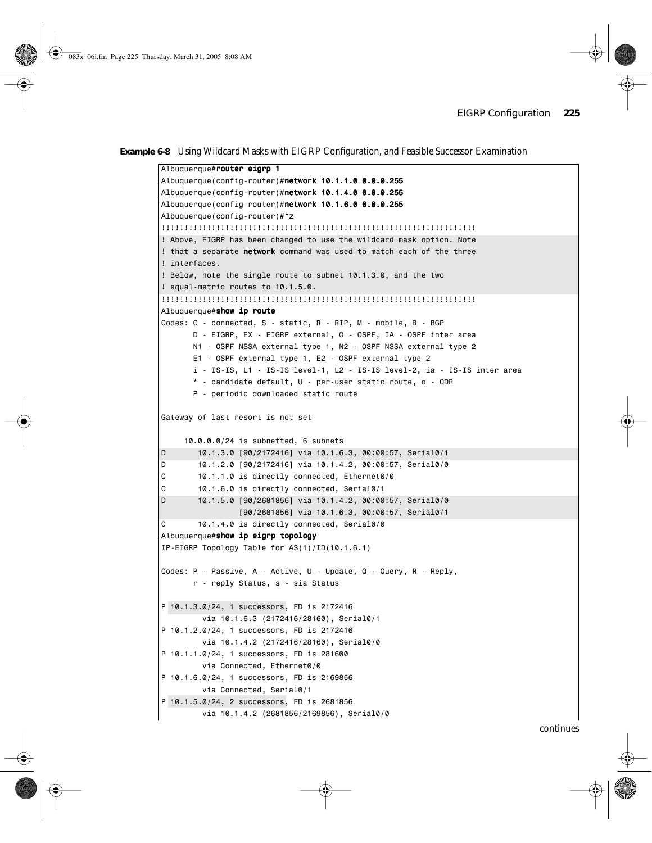**Example 6-8** *Using Wildcard Masks with EIGRP Configuration, and Feasible Successor Examination* 

```
Albuquerque#router eigrp 1
Albuquerque(config-router)#network 10.1.1.0 0.0.0.255
Albuquerque(config-router)#network 10.1.4.0 0.0.0.255
Albuquerque(config-router)#network 10.1.6.0 0.0.0.255
Albuquerque(config-router)#^z
!!!!!!!!!!!!!!!!!!!!!!!!!!!!!!!!!!!!!!!!!!!!!!!!!!!!!!!!!!!!!!!!!!!!!
! Above, EIGRP has been changed to use the wildcard mask option. Note
! that a separate network command was used to match each of the three
! interfaces.
! Below, note the single route to subnet 10.1.3.0, and the two 
! equal-metric routes to 10.1.5.0. 
!!!!!!!!!!!!!!!!!!!!!!!!!!!!!!!!!!!!!!!!!!!!!!!!!!!!!!!!!!!!!!!!!!!!!
Albuquerque#show ip route
Codes: C - connected, S - static, R - RIP, M - mobile, B - BGP
       D - EIGRP, EX - EIGRP external, O - OSPF, IA - OSPF inter area 
       N1 - OSPF NSSA external type 1, N2 - OSPF NSSA external type 2
       E1 - OSPF external type 1, E2 - OSPF external type 2
        i - IS-IS, L1 - IS-IS level-1, L2 - IS-IS level-2, ia - IS-IS inter area
        * - candidate default, U - per-user static route, o - ODR
        P - periodic downloaded static route
Gateway of last resort is not set
     10.0.0.0/24 is subnetted, 6 subnets
D 10.1.3.0 [90/2172416] via 10.1.6.3, 00:00:57, Serial0/1
D 10.1.2.0 [90/2172416] via 10.1.4.2, 00:00:57, Serial0/0
C 10.1.1.0 is directly connected, Ethernet0/0
C 10.1.6.0 is directly connected, Serial0/1
D 10.1.5.0 [90/2681856] via 10.1.4.2, 00:00:57, Serial0/0
                  [90/2681856] via 10.1.6.3, 00:00:57, Serial0/1
C 10.1.4.0 is directly connected, Serial0/0
Albuquerque#show ip eigrp topology
IP-EIGRP Topology Table for AS(1)/ID(10.1.6.1)
Codes: P - Passive, A - Active, U - Update, Q - Query, R - Reply,
        r - reply Status, s - sia Status 
P 10.1.3.0/24, 1 successors, FD is 2172416
         via 10.1.6.3 (2172416/28160), Serial0/1
P 10.1.2.0/24, 1 successors, FD is 2172416
         via 10.1.4.2 (2172416/28160), Serial0/0
P 10.1.1.0/24, 1 successors, FD is 281600
          via Connected, Ethernet0/0
P 10.1.6.0/24, 1 successors, FD is 2169856
          via Connected, Serial0/1
P 10.1.5.0/24, 2 successors, FD is 2681856
          via 10.1.4.2 (2681856/2169856), Serial0/0
```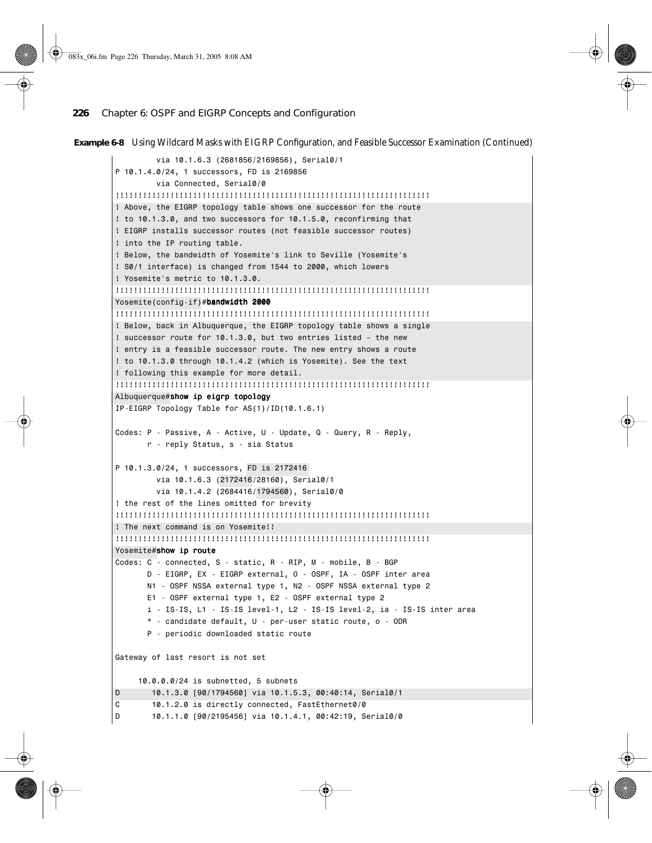**Example 6-8** *Using Wildcard Masks with EIGRP Configuration, and Feasible Successor Examination (Continued)*

```
 via 10.1.6.3 (2681856/2169856), Serial0/1
P 10.1.4.0/24, 1 successors, FD is 2169856
          via Connected, Serial0/0
!!!!!!!!!!!!!!!!!!!!!!!!!!!!!!!!!!!!!!!!!!!!!!!!!!!!!!!!!!!!!!!!!!!!!
! Above, the EIGRP topology table shows one successor for the route
! to 10.1.3.0, and two successors for 10.1.5.0, reconfirming that 
! EIGRP installs successor routes (not feasible successor routes)
! into the IP routing table. 
! Below, the bandwidth of Yosemite's link to Seville (Yosemite's 
! S0/1 interface) is changed from 1544 to 2000, which lowers
! Yosemite's metric to 10.1.3.0.
!!!!!!!!!!!!!!!!!!!!!!!!!!!!!!!!!!!!!!!!!!!!!!!!!!!!!!!!!!!!!!!!!!!!!
Yosemite(config-if)#bandwidth 2000
!!!!!!!!!!!!!!!!!!!!!!!!!!!!!!!!!!!!!!!!!!!!!!!!!!!!!!!!!!!!!!!!!!!!!
! Below, back in Albuquerque, the EIGRP topology table shows a single
! successor route for 10.1.3.0, but two entries listed – the new 
! entry is a feasible successor route. The new entry shows a route
! to 10.1.3.0 through 10.1.4.2 (which is Yosemite). See the text 
! following this example for more detail.
!!!!!!!!!!!!!!!!!!!!!!!!!!!!!!!!!!!!!!!!!!!!!!!!!!!!!!!!!!!!!!!!!!!!!
Albuquerque#show ip eigrp topology
IP-EIGRP Topology Table for AS(1)/ID(10.1.6.1)
Codes: P - Passive, A - Active, U - Update, Q - Query, R - Reply,
        r - reply Status, s - sia Status 
P 10.1.3.0/24, 1 successors, FD is 2172416
          via 10.1.6.3 (2172416/28160), Serial0/1
          via 10.1.4.2 (2684416/1794560), Serial0/0
! the rest of the lines omitted for brevity
!!!!!!!!!!!!!!!!!!!!!!!!!!!!!!!!!!!!!!!!!!!!!!!!!!!!!!!!!!!!!!!!!!!!!
! The next command is on Yosemite!!
!!!!!!!!!!!!!!!!!!!!!!!!!!!!!!!!!!!!!!!!!!!!!!!!!!!!!!!!!!!!!!!!!!!!!
Yosemite#show ip route
Codes: C - connected, S - static, R - RIP, M - mobile, B - BGP
        D - EIGRP, EX - EIGRP external, O - OSPF, IA - OSPF inter area
        N1 - OSPF NSSA external type 1, N2 - OSPF NSSA external type 2
        E1 - OSPF external type 1, E2 - OSPF external type 2
        i - IS-IS, L1 - IS-IS level-1, L2 - IS-IS level-2, ia - IS-IS inter area
        * - candidate default, U - per-user static route, o - ODR
        P - periodic downloaded static route
Gateway of last resort is not set
      10.0.0.0/24 is subnetted, 5 subnets
D 10.1.3.0 [90/1794560] via 10.1.5.3, 00:40:14, Serial0/1
C 10.1.2.0 is directly connected, FastEthernet0/0
D 10.1.1.0 [90/2195456] via 10.1.4.1, 00:42:19, Serial0/0
```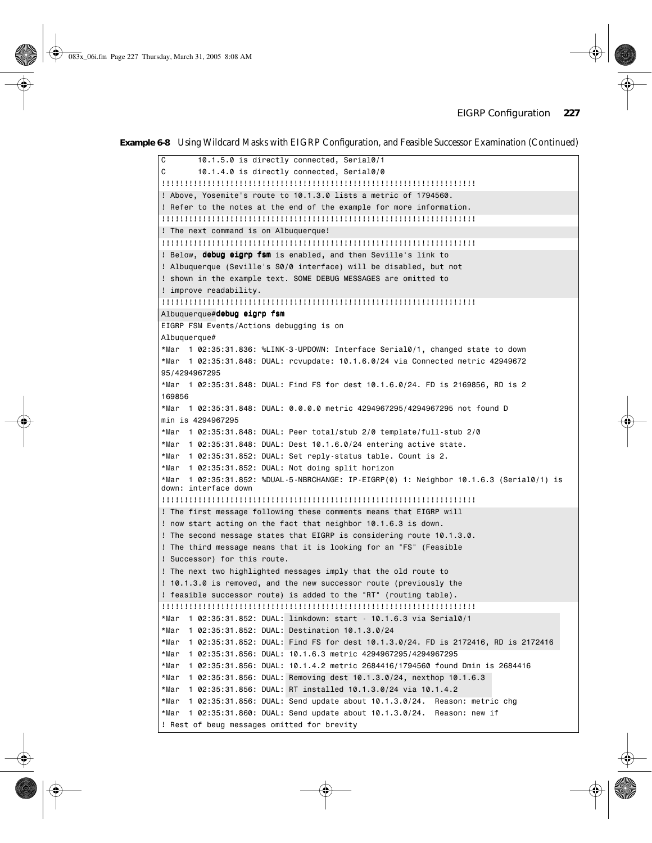**Example 6-8** *Using Wildcard Masks with EIGRP Configuration, and Feasible Successor Examination (Continued)*

```
C 10.1.5.0 is directly connected, Serial0/1
C 10.1.4.0 is directly connected, Serial0/0
!!!!!!!!!!!!!!!!!!!!!!!!!!!!!!!!!!!!!!!!!!!!!!!!!!!!!!!!!!!!!!!!!!!!!
! Above, Yosemite's route to 10.1.3.0 lists a metric of 1794560. 
! Refer to the notes at the end of the example for more information. 
!!!!!!!!!!!!!!!!!!!!!!!!!!!!!!!!!!!!!!!!!!!!!!!!!!!!!!!!!!!!!!!!!!!!!
! The next command is on Albuquerque!
!!!!!!!!!!!!!!!!!!!!!!!!!!!!!!!!!!!!!!!!!!!!!!!!!!!!!!!!!!!!!!!!!!!!!
! Below, debug eigrp fsm is enabled, and then Seville's link to
! Albuquerque (Seville's S0/0 interface) will be disabled, but not
! shown in the example text. SOME DEBUG MESSAGES are omitted to 
! improve readability.
!!!!!!!!!!!!!!!!!!!!!!!!!!!!!!!!!!!!!!!!!!!!!!!!!!!!!!!!!!!!!!!!!!!!!
Albuquerque#debug eigrp fsm
EIGRP FSM Events/Actions debugging is on
Albuquerque#
*Mar 1 02:35:31.836: %LINK-3-UPDOWN: Interface Serial0/1, changed state to down
*Mar 1 02:35:31.848: DUAL: rcvupdate: 10.1.6.0/24 via Connected metric 42949672
95/4294967295
*Mar 1 02:35:31.848: DUAL: Find FS for dest 10.1.6.0/24. FD is 2169856, RD is 2
169856
*Mar 1 02:35:31.848: DUAL: 0.0.0.0 metric 4294967295/4294967295 not found D
min is 4294967295
*Mar 1 02:35:31.848: DUAL: Peer total/stub 2/0 template/full-stub 2/0
*Mar 1 02:35:31.848: DUAL: Dest 10.1.6.0/24 entering active state.
*Mar 1 02:35:31.852: DUAL: Set reply-status table. Count is 2.
*Mar 1 02:35:31.852: DUAL: Not doing split horizon
*Mar 1 02:35:31.852: %DUAL-5-NBRCHANGE: IP-EIGRP(0) 1: Neighbor 10.1.6.3 (Serial0/1) is 
down: interface down
!!!!!!!!!!!!!!!!!!!!!!!!!!!!!!!!!!!!!!!!!!!!!!!!!!!!!!!!!!!!!!!!!!!!!
! The first message following these comments means that EIGRP will 
! now start acting on the fact that neighbor 10.1.6.3 is down.
! The second message states that EIGRP is considering route 10.1.3.0.
! The third message means that it is looking for an "FS" (Feasible
! Successor) for this route.
! The next two highlighted messages imply that the old route to
! 10.1.3.0 is removed, and the new successor route (previously the
! feasible successor route) is added to the "RT" (routing table).
!!!!!!!!!!!!!!!!!!!!!!!!!!!!!!!!!!!!!!!!!!!!!!!!!!!!!!!!!!!!!!!!!!!!!
*Mar 1 02:35:31.852: DUAL: linkdown: start - 10.1.6.3 via Serial0/1
*Mar 1 02:35:31.852: DUAL: Destination 10.1.3.0/24
*Mar 1 02:35:31.852: DUAL: Find FS for dest 10.1.3.0/24. FD is 2172416, RD is 2172416
*Mar 1 02:35:31.856: DUAL: 10.1.6.3 metric 4294967295/4294967295
*Mar 1 02:35:31.856: DUAL: 10.1.4.2 metric 2684416/1794560 found Dmin is 2684416
*Mar 1 02:35:31.856: DUAL: Removing dest 10.1.3.0/24, nexthop 10.1.6.3
*Mar 1 02:35:31.856: DUAL: RT installed 10.1.3.0/24 via 10.1.4.2
*Mar 1 02:35:31.856: DUAL: Send update about 10.1.3.0/24. Reason: metric chg
*Mar 1 02:35:31.860: DUAL: Send update about 10.1.3.0/24. Reason: new if
! Rest of beug messages omitted for brevity
```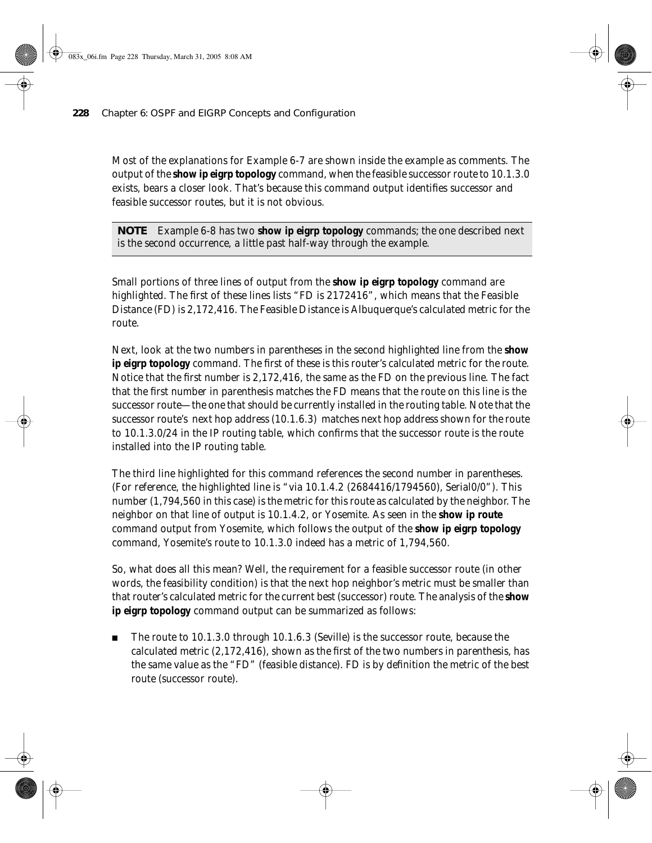Most of the explanations for Example 6-7 are shown inside the example as comments. The output of the **show ip eigrp topology** command, when the feasible successor route to 10.1.3.0 exists, bears a closer look. That's because this command output identifies successor and feasible successor routes, but it is not obvious.

**NOTE** Example 6-8 has two **show ip eigrp topology** commands; the one described next is the second occurrence, a little past half-way through the example.

Small portions of three lines of output from the **show ip eigrp topology** command are highlighted. The first of these lines lists "FD is 2172416", which means that the Feasible Distance (FD) is 2,172,416. The *Feasible Distance* is Albuquerque's calculated metric for the route.

Next, look at the two numbers in parentheses in the second highlighted line from the **show ip eigrp topology** command. The first of these is this router's calculated metric for the route. Notice that the first number is 2,172,416, the same as the FD on the previous line. The fact that the first number in parenthesis matches the FD means that the route on this line is the *successor route*—the one that should be currently installed in the routing table. Note that the successor route's next hop address (10.1.6.3) matches next hop address shown for the route to 10.1.3.0/24 in the IP routing table, which confirms that the successor route is the route installed into the IP routing table.

The third line highlighted for this command references the second number in parentheses. (For reference, the highlighted line is "via 10.1.4.2 (2684416/1794560), Serial0/0"). This number (1,794,560 in this case) is the metric for this route *as calculated by the neighbor*. The neighbor on that line of output is 10.1.4.2, or Yosemite. As seen in the **show ip route** command output from Yosemite, which follows the output of the **show ip eigrp topology** command, Yosemite's route to 10.1.3.0 indeed has a metric of 1,794,560.

So, what does all this mean? Well, the requirement for a feasible successor route (in other words, the feasibility condition) is that the next hop neighbor's metric must be smaller than that router's calculated metric for the current best (successor) route. The analysis of the **show ip eigrp topology** command output can be summarized as follows:

■ The route to 10.1.3.0 through 10.1.6.3 (Seville) is the successor route, because the calculated metric (2,172,416), shown as the first of the two numbers in parenthesis, has the same value as the "FD" (feasible distance). FD is by definition the metric of the best route (successor route).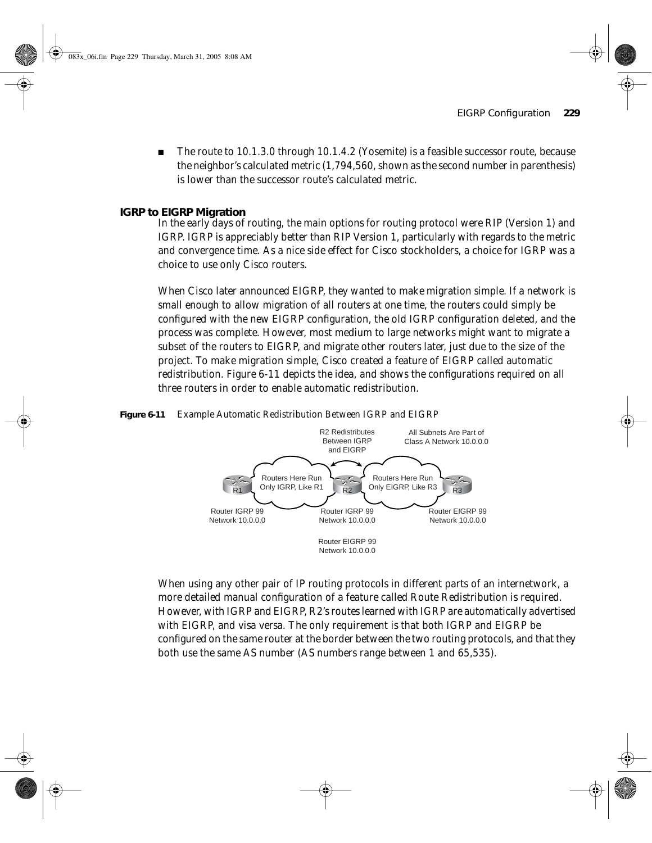■ The route to 10.1.3.0 through 10.1.4.2 (Yosemite) is a feasible successor route, because the neighbor's calculated metric (1,794,560, shown as the second number in parenthesis) is lower than the successor route's calculated metric.

## **IGRP to EIGRP Migration**

In the early days of routing, the main options for routing protocol were RIP (Version 1) and IGRP. IGRP is appreciably better than RIP Version 1, particularly with regards to the metric and convergence time. As a nice side effect for Cisco stockholders, a choice for IGRP was a choice to use only Cisco routers.

When Cisco later announced EIGRP, they wanted to make migration simple. If a network is small enough to allow migration of all routers at one time, the routers could simply be configured with the new EIGRP configuration, the old IGRP configuration deleted, and the process was complete. However, most medium to large networks might want to migrate a subset of the routers to EIGRP, and migrate other routers later, just due to the size of the project. To make migration simple, Cisco created a feature of EIGRP called *automatic redistribution*. Figure 6-11 depicts the idea, and shows the configurations required on all three routers in order to enable automatic redistribution.

**Figure 6-11** *Example Automatic Redistribution Between IGRP and EIGRP*



When using any other pair of IP routing protocols in different parts of an internetwork, a more detailed manual configuration of a feature called *Route Redistribution* is required. However, with IGRP and EIGRP, R2's routes learned with IGRP are automatically advertised with EIGRP, and visa versa. The only requirement is that both IGRP and EIGRP be configured on the same router at the border between the two routing protocols, and that they both use the same AS number (AS numbers range between 1 and 65,535).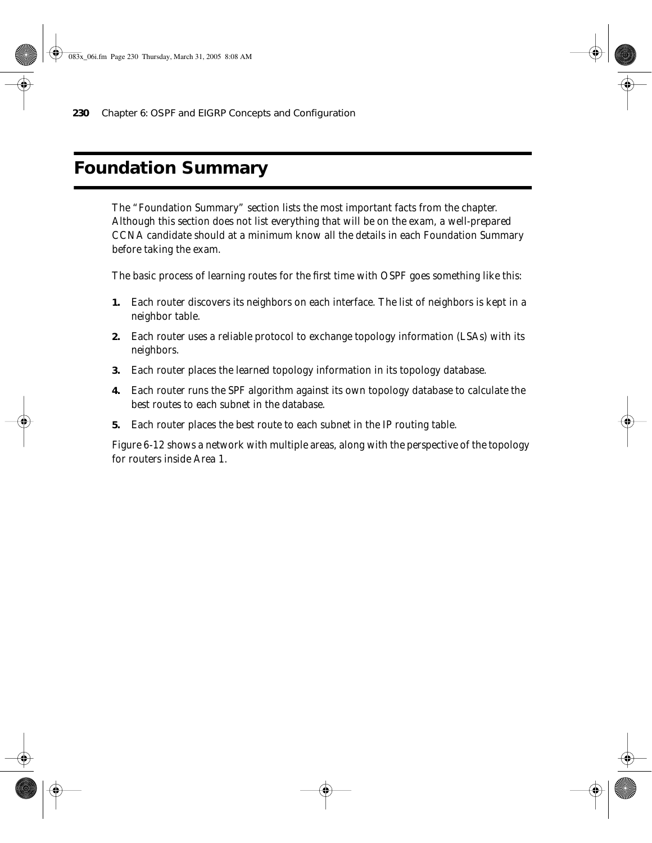# **Foundation Summary**

The "Foundation Summary" section lists the most important facts from the chapter. Although this section does not list everything that will be on the exam, a well-prepared CCNA candidate should at a minimum know all the details in each Foundation Summary before taking the exam.

The basic process of learning routes for the first time with OSPF goes something like this:

- **1.** Each router discovers its neighbors on each interface. The list of neighbors is kept in a neighbor table.
- **2.** Each router uses a reliable protocol to exchange topology information (LSAs) with its neighbors.
- **3.** Each router places the learned topology information in its topology database.
- **4.** Each router runs the SPF algorithm against its own topology database to calculate the best routes to each subnet in the database.
- **5.** Each router places the best route to each subnet in the IP routing table.

Figure 6-12 shows a network with multiple areas, along with the perspective of the topology for routers inside Area 1.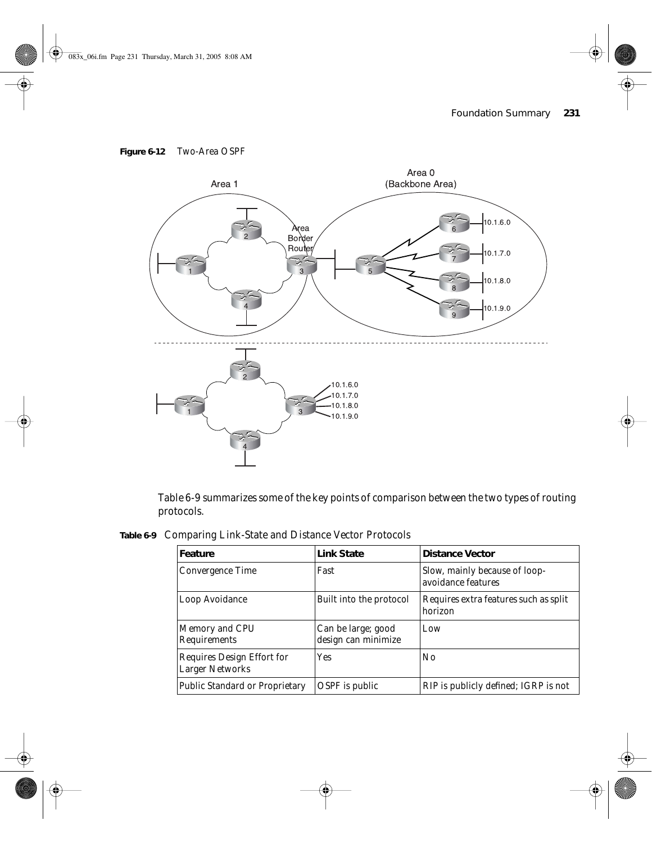**Figure 6-12** *Two-Area OSPF*



Table 6-9 summarizes some of the key points of comparison between the two types of routing protocols.

| Feature                                              | <b>Link State</b>                         | <b>Distance Vector</b>                              |
|------------------------------------------------------|-------------------------------------------|-----------------------------------------------------|
| Convergence Time                                     | Fast                                      | Slow, mainly because of loop-<br>avoidance features |
| Loop Avoidance                                       | Built into the protocol                   | Requires extra features such as split<br>horizon    |
| Memory and CPU<br>Requirements                       | Can be large; good<br>design can minimize | Low                                                 |
| Requires Design Effort for<br><b>Larger Networks</b> | Yes                                       | No                                                  |
| <b>Public Standard or Proprietary</b>                | OSPF is public                            | RIP is publicly defined; IGRP is not                |

**Table 6-9** *Comparing Link-State and Distance Vector Protocols*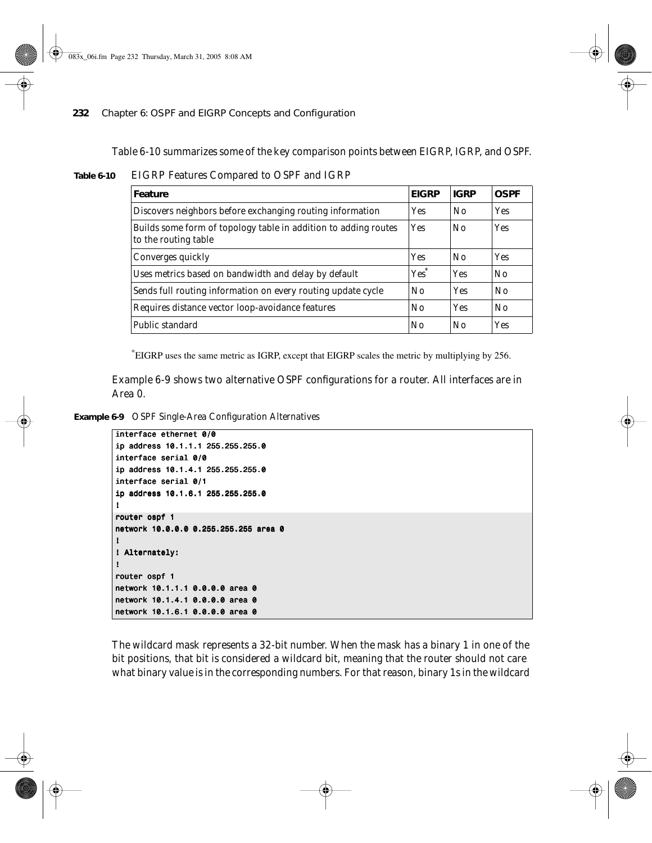Table 6-10 summarizes some of the key comparison points between EIGRP, IGRP, and OSPF.

**Table 6-10** *EIGRP Features Compared to OSPF and IGRP*

| Feature                                                                                 | <b>EIGRP</b> | <b>IGRP</b>    | <b>OSPF</b> |
|-----------------------------------------------------------------------------------------|--------------|----------------|-------------|
| Discovers neighbors before exchanging routing information                               | <b>Yes</b>   | N <sub>0</sub> | Yes         |
| Builds some form of topology table in addition to adding routes<br>to the routing table | <b>Yes</b>   | No             | Yes         |
| Converges quickly                                                                       | Yes          | $\rm No$       | Yes         |
| Uses metrics based on bandwidth and delay by default                                    | $Yes^*$      | Yes            | No          |
| Sends full routing information on every routing update cycle                            | No           | <b>Yes</b>     | <b>No</b>   |
| Requires distance vector loop-avoidance features                                        | No           | Yes            | No          |
| Public standard                                                                         | No           | $\rm No$       | Yes         |

\* EIGRP uses the same metric as IGRP, except that EIGRP scales the metric by multiplying by 256.

Example 6-9 shows two alternative OSPF configurations for a router. All interfaces are in Area 0.

**Example 6-9** *OSPF Single-Area Configuration Alternatives*

```
interface ethernet 0/0
ip address 10.1.1.1 255.255.255.0
interface serial 0/0
ip address 10.1.4.1 255.255.255.0
interface serial 0/1
ip address 10.1.6.1 255.255.255.0
!
router ospf 1
network 10.0.0.0 0.255.255.255 area 0
!
! Alternately:
!
router ospf 1
network 10.1.1.1 0.0.0.0 area 0
network 10.1.4.1 0.0.0.0 area 0
network 10.1.6.1 0.0.0.0 area 0
```
The wildcard mask represents a 32-bit number. When the mask has a binary 1 in one of the bit positions, that bit is considered a wildcard bit, meaning that the router should not care what binary value is in the corresponding numbers. For that reason, binary 1s in the wildcard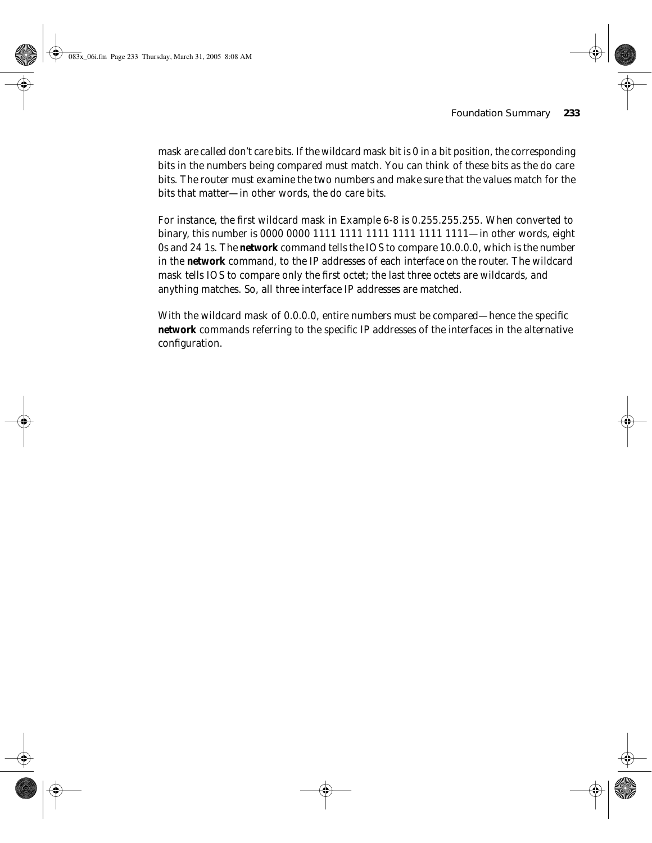mask are called *don't care bits*. If the wildcard mask bit is 0 in a bit position, the corresponding bits in the numbers being compared must match. You can think of these bits as the *do care bits*. The router must examine the two numbers and make sure that the values match for the bits that matter—in other words, the do care bits.

For instance, the first wildcard mask in Example 6-8 is 0.255.255.255. When converted to binary, this number is 0000 0000 1111 1111 1111 1111 1111 1111—in other words, eight 0s and 24 1s. The **network** command tells the IOS to compare 10.0.0.0, which is the number in the **network** command, to the IP addresses of each interface on the router. The wildcard mask tells IOS to compare only the first octet; the last three octets are wildcards, and anything matches. So, all three interface IP addresses are matched.

With the wildcard mask of 0.0.0.0, entire numbers must be compared—hence the specific **network** commands referring to the specific IP addresses of the interfaces in the alternative configuration.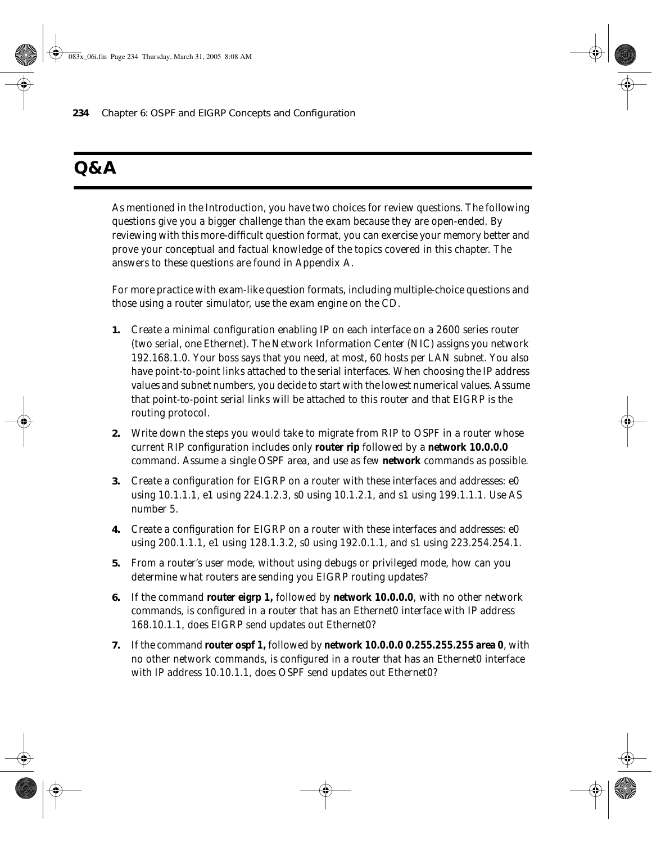# **Q&A**

As mentioned in the Introduction, you have two choices for review questions. The following questions give you a bigger challenge than the exam because they are open-ended. By reviewing with this more-difficult question format, you can exercise your memory better and prove your conceptual and factual knowledge of the topics covered in this chapter. The answers to these questions are found in Appendix A.

For more practice with exam-like question formats, including multiple-choice questions and those using a router simulator, use the exam engine on the CD.

- **1.** Create a minimal configuration enabling IP on each interface on a 2600 series router (two serial, one Ethernet). The Network Information Center (NIC) assigns you network 192.168.1.0. Your boss says that you need, at most, 60 hosts per LAN subnet. You also have point-to-point links attached to the serial interfaces. When choosing the IP address values and subnet numbers, you decide to start with the lowest numerical values. Assume that point-to-point serial links will be attached to this router and that EIGRP is the routing protocol.
- **2.** Write down the steps you would take to migrate from RIP to OSPF in a router whose current RIP configuration includes only **router rip** followed by a **network 10.0.0.0** command. Assume a single OSPF area, and use as few **network** commands as possible.
- **3.** Create a configuration for EIGRP on a router with these interfaces and addresses: e0 using 10.1.1.1, e1 using 224.1.2.3, s0 using 10.1.2.1, and s1 using 199.1.1.1. Use AS number 5.
- **4.** Create a configuration for EIGRP on a router with these interfaces and addresses: e0 using 200.1.1.1, e1 using 128.1.3.2, s0 using 192.0.1.1, and s1 using 223.254.254.1.
- **5.** From a router's user mode, without using debugs or privileged mode, how can you determine what routers are sending you EIGRP routing updates?
- **6.** If the command **router eigrp 1,** followed by **network 10.0.0.0**, with no other network commands, is configured in a router that has an Ethernet0 interface with IP address 168.10.1.1, does EIGRP send updates out Ethernet0?
- **7.** If the command **router ospf 1,** followed by **network 10.0.0.0 0.255.255.255 area 0**, with no other network commands, is configured in a router that has an Ethernet0 interface with IP address 10.10.1.1, does OSPF send updates out Ethernet0?